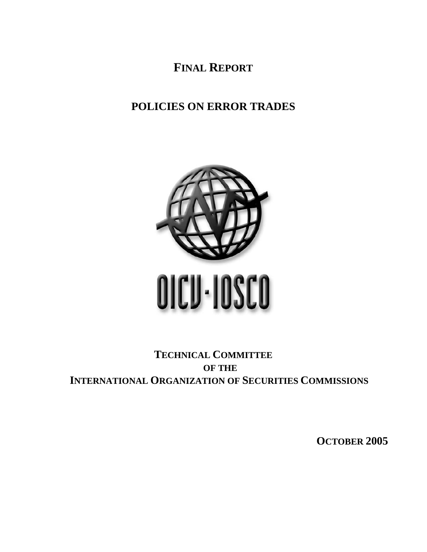**FINAL REPORT**

# **POLICIES ON ERROR TRADES**



# **TECHNICAL COMMITTEE OF THE INTERNATIONAL ORGANIZATION OF SECURITIES COMMISSIONS**

**OCTOBER 2005**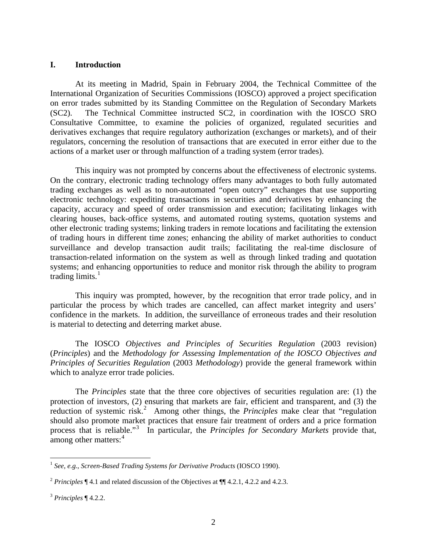### **I. Introduction**

At its meeting in Madrid, Spain in February 2004, the Technical Committee of the International Organization of Securities Commissions (IOSCO) approved a project specification on error trades submitted by its Standing Committee on the Regulation of Secondary Markets (SC2). The Technical Committee instructed SC2, in coordination with the IOSCO SRO Consultative Committee, to examine the policies of organized, regulated securities and derivatives exchanges that require regulatory authorization (exchanges or markets), and of their regulators, concerning the resolution of transactions that are executed in error either due to the actions of a market user or through malfunction of a trading system (error trades).

This inquiry was not prompted by concerns about the effectiveness of electronic systems. On the contrary, electronic trading technology offers many advantages to both fully automated trading exchanges as well as to non-automated "open outcry" exchanges that use supporting electronic technology: expediting transactions in securities and derivatives by enhancing the capacity, accuracy and speed of order transmission and execution; facilitating linkages with clearing houses, back-office systems, and automated routing systems, quotation systems and other electronic trading systems; linking traders in remote locations and facilitating the extension of trading hours in different time zones; enhancing the ability of market authorities to conduct surveillance and develop transaction audit trails; facilitating the real-time disclosure of transaction-related information on the system as well as through linked trading and quotation systems; and enhancing opportunities to reduce and monitor risk through the ability to program trading limits. $<sup>1</sup>$  $<sup>1</sup>$  $<sup>1</sup>$ </sup>

This inquiry was prompted, however, by the recognition that error trade policy, and in particular the process by which trades are cancelled, can affect market integrity and users' confidence in the markets. In addition, the surveillance of erroneous trades and their resolution is material to detecting and deterring market abuse.

The IOSCO *Objectives and Principles of Securities Regulation* (2003 revision) (*Principles*) and the *Methodology for Assessing Implementation of the IOSCO Objectives and Principles of Securities Regulation* (2003 *Methodology*) provide the general framework within which to analyze error trade policies.

The *Principles* state that the three core objectives of securities regulation are: (1) the protection of investors, (2) ensuring that markets are fair, efficient and transparent, and (3) the reduction of systemic risk.<sup>[2](#page-1-1)</sup> Among other things, the *Principles* make clear that "regulation" should also promote market practices that ensure fair treatment of orders and a price formation process that is reliable."[3](#page-1-2) In particular, the *Principles for Secondary Markets* provide that, among other matters:<sup>[4](#page-1-3)</sup>

 $\overline{a}$ 

<span id="page-1-3"></span><span id="page-1-0"></span><sup>1</sup> *See, e.g.*, *Screen-Based Trading Systems for Derivative Products* (IOSCO 1990).

<span id="page-1-1"></span><sup>2</sup> *Principles* ¶ 4.1 and related discussion of the Objectives at ¶¶ 4.2.1, 4.2.2 and 4.2.3.

<span id="page-1-2"></span><sup>3</sup> *Principles* ¶ 4.2.2.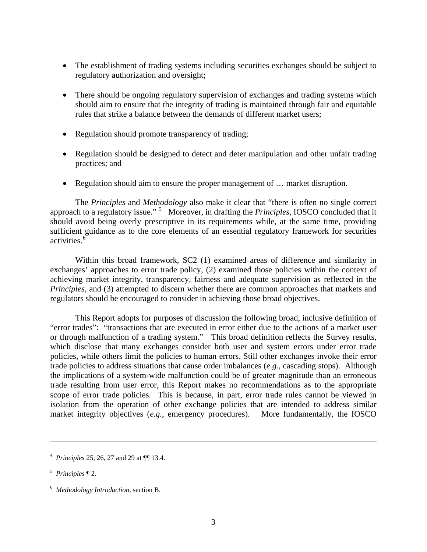- The establishment of trading systems including securities exchanges should be subject to regulatory authorization and oversight;
- There should be ongoing regulatory supervision of exchanges and trading systems which should aim to ensure that the integrity of trading is maintained through fair and equitable rules that strike a balance between the demands of different market users;
- Regulation should promote transparency of trading;
- Regulation should be designed to detect and deter manipulation and other unfair trading practices; and
- Regulation should aim to ensure the proper management of ... market disruption.

The *Principles* and *Methodology* also make it clear that "there is often no single correct approach to a regulatory issue." [5](#page-2-0) Moreover, in drafting the *Principles*, IOSCO concluded that it should avoid being overly prescriptive in its requirements while, at the same time, providing sufficient guidance as to the core elements of an essential regulatory framework for securities activities.<sup>[6](#page-2-1)</sup>

Within this broad framework, SC2 (1) examined areas of difference and similarity in exchanges' approaches to error trade policy, (2) examined those policies within the context of achieving market integrity, transparency, fairness and adequate supervision as reflected in the *Principles,* and (3) attempted to discern whether there are common approaches that markets and regulators should be encouraged to consider in achieving those broad objectives.

This Report adopts for purposes of discussion the following broad, inclusive definition of "error trades": "transactions that are executed in error either due to the actions of a market user or through malfunction of a trading system." This broad definition reflects the Survey results, which disclose that many exchanges consider both user and system errors under error trade policies, while others limit the policies to human errors. Still other exchanges invoke their error trade policies to address situations that cause order imbalances (*e.g.,* cascading stops). Although the implications of a system-wide malfunction could be of greater magnitude than an erroneous trade resulting from user error, this Report makes no recommendations as to the appropriate scope of error trade policies. This is because, in part, error trade rules cannot be viewed in isolation from the operation of other exchange policies that are intended to address similar market integrity objectives (*e.g.,* emergency procedures). More fundamentally, the IOSCO

 $\overline{a}$ 

<sup>4</sup> *Principles* 25, 26, 27 and 29 at ¶¶ 13.4.

<span id="page-2-0"></span><sup>5</sup> *Principles* ¶ 2.

<span id="page-2-1"></span><sup>6</sup> *Methodology Introduction,* section B.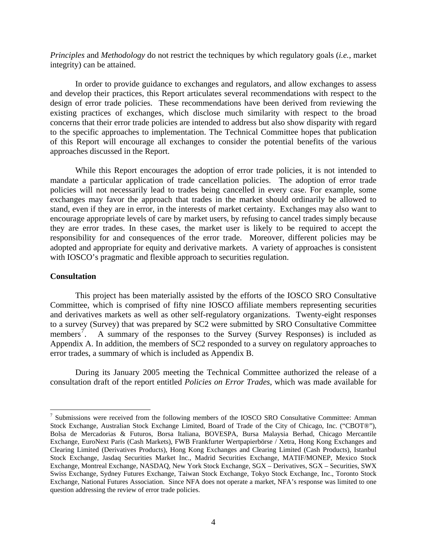*Principles* and *Methodology* do not restrict the techniques by which regulatory goals (*i.e.,* market integrity) can be attained.

 In order to provide guidance to exchanges and regulators, and allow exchanges to assess and develop their practices, this Report articulates several recommendations with respect to the design of error trade policies. These recommendations have been derived from reviewing the existing practices of exchanges, which disclose much similarity with respect to the broad concerns that their error trade policies are intended to address but also show disparity with regard to the specific approaches to implementation. The Technical Committee hopes that publication of this Report will encourage all exchanges to consider the potential benefits of the various approaches discussed in the Report.

While this Report encourages the adoption of error trade policies, it is not intended to mandate a particular application of trade cancellation policies. The adoption of error trade policies will not necessarily lead to trades being cancelled in every case. For example, some exchanges may favor the approach that trades in the market should ordinarily be allowed to stand, even if they are in error, in the interests of market certainty. Exchanges may also want to encourage appropriate levels of care by market users, by refusing to cancel trades simply because they are error trades. In these cases, the market user is likely to be required to accept the responsibility for and consequences of the error trade. Moreover, different policies may be adopted and appropriate for equity and derivative markets. A variety of approaches is consistent with IOSCO's pragmatic and flexible approach to securities regulation.

### **Consultation**

 $\overline{a}$ 

 This project has been materially assisted by the efforts of the IOSCO SRO Consultative Committee, which is comprised of fifty nine IOSCO affiliate members representing securities and derivatives markets as well as other self-regulatory organizations. Twenty-eight responses to a survey (Survey) that was prepared by SC2 were submitted by SRO Consultative Committee members<sup>[7](#page-3-0)</sup>. A summary of the responses to the Survey (Survey Responses) is included as Appendix A. In addition, the members of SC2 responded to a survey on regulatory approaches to error trades, a summary of which is included as Appendix B.

 During its January 2005 meeting the Technical Committee authorized the release of a consultation draft of the report entitled *Policies on Error Trades*, which was made available for

<span id="page-3-0"></span><sup>&</sup>lt;sup>7</sup> Submissions were received from the following members of the IOSCO SRO Consultative Committee: Amman Stock Exchange, Australian Stock Exchange Limited, Board of Trade of the City of Chicago, Inc. ("CBOT®"), Bolsa de Mercadorias & Futuros, Borsa Italiana, BOVESPA, Bursa Malaysia Berhad, Chicago Mercantile Exchange, EuroNext Paris (Cash Markets), FWB Frankfurter Wertpapierbörse / Xetra, Hong Kong Exchanges and Clearing Limited (Derivatives Products), Hong Kong Exchanges and Clearing Limited (Cash Products), Istanbul Stock Exchange, Jasdaq Securities Market Inc., Madrid Securities Exchange, MATIF/MONEP, Mexico Stock Exchange, Montreal Exchange, NASDAQ, New York Stock Exchange, SGX – Derivatives, SGX – Securities, SWX Swiss Exchange, Sydney Futures Exchange, Taiwan Stock Exchange, Tokyo Stock Exchange, Inc., Toronto Stock Exchange, National Futures Association. Since NFA does not operate a market, NFA's response was limited to one question addressing the review of error trade policies.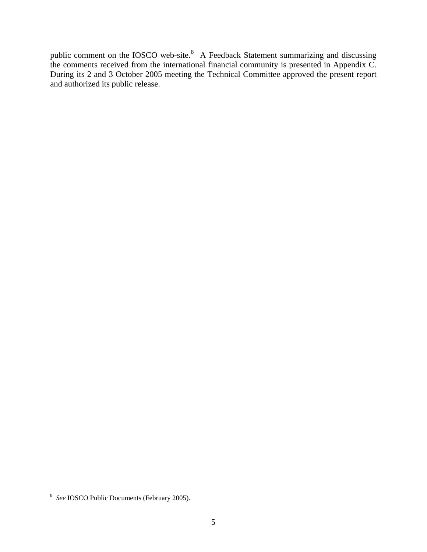public comment on the IOSCO web-site. $8$  A Feedback Statement summarizing and discussing the comments received from the international financial community is presented in Appendix C. During its 2 and 3 October 2005 meeting the Technical Committee approved the present report and authorized its public release.

<span id="page-4-0"></span> 8 *See* IOSCO Public Documents (February 2005).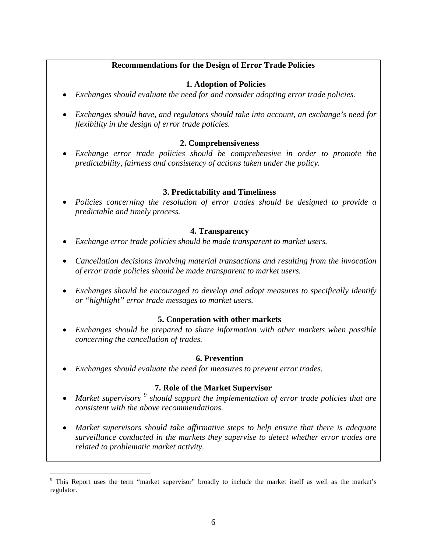# **Recommendations for the Design of Error Trade Policies**

# **1. Adoption of Policies**

- *Exchanges should evaluate the need for and consider adopting error trade policies.*
- *Exchanges should have, and regulators should take into account, an exchange's need for flexibility in the design of error trade policies.*

# **2. Comprehensiveness**

• *Exchange error trade policies should be comprehensive in order to promote the predictability, fairness and consistency of actions taken under the policy.* 

# **3. Predictability and Timeliness**

• *Policies concerning the resolution of error trades should be designed to provide a predictable and timely process.* 

# **4. Transparency**

- *Exchange error trade policies should be made transparent to market users.*
- *Cancellation decisions involving material transactions and resulting from the invocation of error trade policies should be made transparent to market users.*
- *Exchanges should be encouraged to develop and adopt measures to specifically identify or "highlight" error trade messages to market users.*

# **5. Cooperation with other markets**

• *Exchanges should be prepared to share information with other markets when possible concerning the cancellation of trades.* 

# **6. Prevention**

• *Exchanges should evaluate the need for measures to prevent error trades.* 

# **7. Role of the Market Supervisor**

- Market supervisors <sup>[9](#page-5-0)</sup> should support the implementation of error trade policies that are *consistent with the above recommendations.*
- *Market supervisors should take affirmative steps to help ensure that there is adequate surveillance conducted in the markets they supervise to detect whether error trades are related to problematic market activity.*

<span id="page-5-0"></span> $\overline{a}$ <sup>9</sup> This Report uses the term "market supervisor" broadly to include the market itself as well as the market's regulator.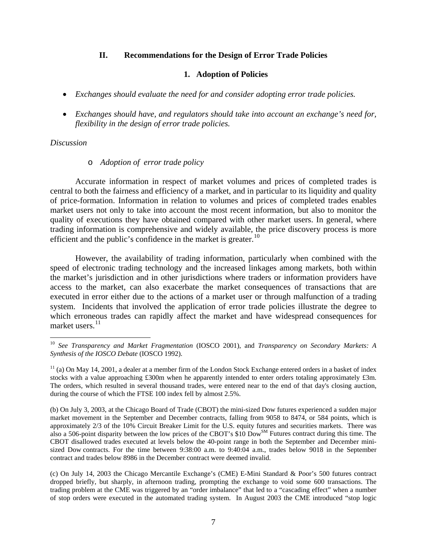### **II. Recommendations for the Design of Error Trade Policies**

### **1. Adoption of Policies**

- *Exchanges should evaluate the need for and consider adopting error trade policies.*
- *Exchanges should have, and regulators should take into account an exchange's need for, flexibility in the design of error trade policies.*

### *Discussion*

 $\overline{a}$ 

### o *Adoption of error trade policy*

Accurate information in respect of market volumes and prices of completed trades is central to both the fairness and efficiency of a market, and in particular to its liquidity and quality of price-formation. Information in relation to volumes and prices of completed trades enables market users not only to take into account the most recent information, but also to monitor the quality of executions they have obtained compared with other market users. In general, where trading information is comprehensive and widely available, the price discovery process is more efficient and the public's confidence in the market is greater.<sup>[10](#page-6-0)</sup>

However, the availability of trading information, particularly when combined with the speed of electronic trading technology and the increased linkages among markets, both within the market's jurisdiction and in other jurisdictions where traders or information providers have access to the market, can also exacerbate the market consequences of transactions that are executed in error either due to the actions of a market user or through malfunction of a trading system. Incidents that involved the application of error trade policies illustrate the degree to which erroneous trades can rapidly affect the market and have widespread consequences for market users.<sup>[11](#page-6-1)</sup>

<span id="page-6-0"></span><sup>10</sup> *See Transparency and Market Fragmentation* (IOSCO 2001), and *Transparency on Secondary Markets: A Synthesis of the IOSCO Debate* (IOSCO 1992).

<span id="page-6-1"></span> $11$  (a) On May 14, 2001, a dealer at a member firm of the London Stock Exchange entered orders in a basket of index stocks with a value approaching £300m when he apparently intended to enter orders totaling approximately £3m. The orders, which resulted in several thousand trades, were entered near to the end of that day's closing auction, during the course of which the FTSE 100 index fell by almost 2.5%.

<sup>(</sup>b) On July 3, 2003, at the Chicago Board of Trade (CBOT) the mini-sized Dow futures experienced a sudden major market movement in the September and December contracts, falling from 9058 to 8474, or 584 points, which is approximately 2/3 of the 10% Circuit Breaker Limit for the U.S. equity futures and securities markets. There was also a 506-point disparity between the low prices of the CBOT's \$10 Dow<sup>SM</sup> Futures contract during this time. The CBOT disallowed trades executed at levels below the 40-point range in both the September and December minisized Dow contracts. For the time between 9:38:00 a.m. to 9:40:04 a.m., trades below 9018 in the September contract and trades below 8986 in the December contract were deemed invalid.

<sup>(</sup>c) On July 14, 2003 the Chicago Mercantile Exchange's (CME) E-Mini Standard & Poor's 500 futures contract dropped briefly, but sharply, in afternoon trading, prompting the exchange to void some 600 transactions. The trading problem at the CME was triggered by an "order imbalance" that led to a "cascading effect" when a number of stop orders were executed in the automated trading system. In August 2003 the CME introduced "stop logic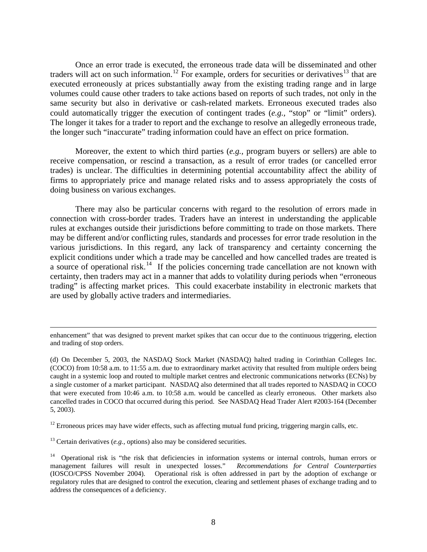Once an error trade is executed, the erroneous trade data will be disseminated and other traders will act on such information.<sup>[12](#page-7-0)</sup> For example, orders for securities or derivatives<sup>[13](#page-7-1)</sup> that are executed erroneously at prices substantially away from the existing trading range and in large volumes could cause other traders to take actions based on reports of such trades, not only in the same security but also in derivative or cash-related markets. Erroneous executed trades also could automatically trigger the execution of contingent trades (*e.g.,* "stop" or "limit" orders). The longer it takes for a trader to report and the exchange to resolve an allegedly erroneous trade, the longer such "inaccurate" trading information could have an effect on price formation.

Moreover, the extent to which third parties (*e.g.,* program buyers or sellers) are able to receive compensation, or rescind a transaction, as a result of error trades (or cancelled error trades) is unclear. The difficulties in determining potential accountability affect the ability of firms to appropriately price and manage related risks and to assess appropriately the costs of doing business on various exchanges.

There may also be particular concerns with regard to the resolution of errors made in connection with cross-border trades. Traders have an interest in understanding the applicable rules at exchanges outside their jurisdictions before committing to trade on those markets. There may be different and/or conflicting rules, standards and processes for error trade resolution in the various jurisdictions. In this regard, any lack of transparency and certainty concerning the explicit conditions under which a trade may be cancelled and how cancelled trades are treated is a source of operational risk.<sup>[14](#page-7-2)</sup> If the policies concerning trade cancellation are not known with certainty, then traders may act in a manner that adds to volatility during periods when "erroneous trading" is affecting market prices. This could exacerbate instability in electronic markets that are used by globally active traders and intermediaries.

<span id="page-7-0"></span> $12$  Erroneous prices may have wider effects, such as affecting mutual fund pricing, triggering margin calls, etc.

<span id="page-7-1"></span> $13$  Certain derivatives (*e.g.*, options) also may be considered securities.

enhancement" that was designed to prevent market spikes that can occur due to the continuous triggering, election and trading of stop orders.

<sup>(</sup>d) On December 5, 2003, the NASDAQ Stock Market (NASDAQ) halted trading in Corinthian Colleges Inc. (COCO) from 10:58 a.m. to 11:55 a.m. due to extraordinary market activity that resulted from multiple orders being caught in a systemic loop and routed to multiple market centres and electronic communications networks (ECNs) by a single customer of a market participant. NASDAQ also determined that all trades reported to NASDAQ in COCO that were executed from 10:46 a.m. to 10:58 a.m. would be cancelled as clearly erroneous. Other markets also cancelled trades in COCO that occurred during this period. See NASDAQ Head Trader Alert #2003-164 (December 5, 2003).

<span id="page-7-2"></span><sup>&</sup>lt;sup>14</sup> Operational risk is "the risk that deficiencies in information systems or internal controls, human errors or management failures will result in unexpected losses." *Recommendations for Central Counterparties*  (IOSCO/CPSS November 2004). Operational risk is often addressed in part by the adoption of exchange or regulatory rules that are designed to control the execution, clearing and settlement phases of exchange trading and to address the consequences of a deficiency.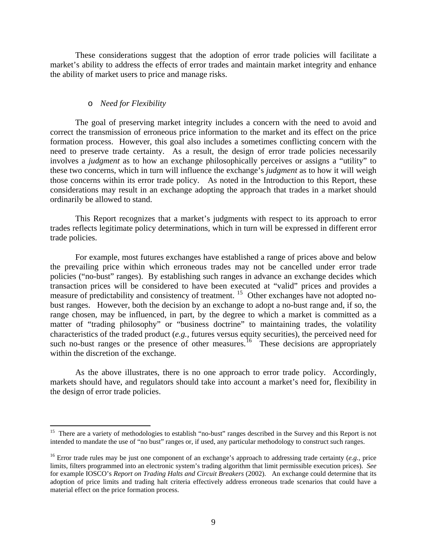These considerations suggest that the adoption of error trade policies will facilitate a market's ability to address the effects of error trades and maintain market integrity and enhance the ability of market users to price and manage risks.

### o *Need for Flexibility*

 $\overline{a}$ 

The goal of preserving market integrity includes a concern with the need to avoid and correct the transmission of erroneous price information to the market and its effect on the price formation process. However, this goal also includes a sometimes conflicting concern with the need to preserve trade certainty. As a result, the design of error trade policies necessarily involves a *judgment* as to how an exchange philosophically perceives or assigns a "utility" to these two concerns, which in turn will influence the exchange's *judgment* as to how it will weigh those concerns within its error trade policy. As noted in the Introduction to this Report, these considerations may result in an exchange adopting the approach that trades in a market should ordinarily be allowed to stand.

 This Report recognizes that a market's judgments with respect to its approach to error trades reflects legitimate policy determinations, which in turn will be expressed in different error trade policies.

 For example, most futures exchanges have established a range of prices above and below the prevailing price within which erroneous trades may not be cancelled under error trade policies ("no-bust" ranges). By establishing such ranges in advance an exchange decides which transaction prices will be considered to have been executed at "valid" prices and provides a measure of predictability and consistency of treatment. <sup>[15](#page-8-0)</sup> Other exchanges have not adopted nobust ranges. However, both the decision by an exchange to adopt a no-bust range and, if so, the range chosen, may be influenced, in part, by the degree to which a market is committed as a matter of "trading philosophy" or "business doctrine" to maintaining trades, the volatility characteristics of the traded product (*e.g.,* futures versus equity securities), the perceived need for such no-bust ranges or the presence of other measures.<sup>[16](#page-8-1)</sup> These decisions are appropriately within the discretion of the exchange.

As the above illustrates, there is no one approach to error trade policy.Accordingly, markets should have, and regulators should take into account a market's need for, flexibility in the design of error trade policies.

<span id="page-8-0"></span><sup>&</sup>lt;sup>15</sup> There are a variety of methodologies to establish "no-bust" ranges described in the Survey and this Report is not intended to mandate the use of "no bust" ranges or, if used, any particular methodology to construct such ranges.

<span id="page-8-1"></span><sup>&</sup>lt;sup>16</sup> Error trade rules may be just one component of an exchange's approach to addressing trade certainty (*e.g.*, price limits, filters programmed into an electronic system's trading algorithm that limit permissible execution prices). *See* for example IOSCO's *Report on Trading Halts and Circuit Breakers* (2002). An exchange could determine that its adoption of price limits and trading halt criteria effectively address erroneous trade scenarios that could have a material effect on the price formation process.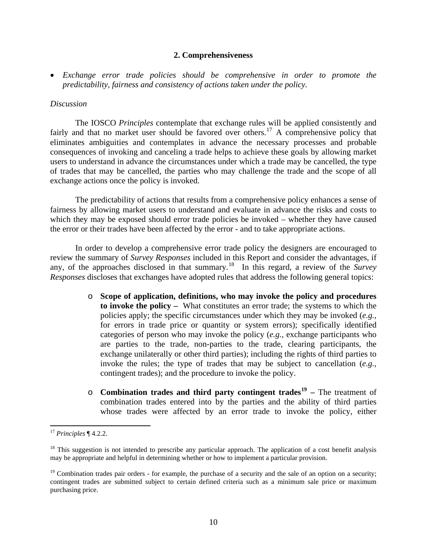### **2. Comprehensiveness**

• *Exchange error trade policies should be comprehensive in order to promote the predictability, fairness and consistency of actions taken under the policy.* 

### *Discussion*

 The IOSCO *Principles* contemplate that exchange rules will be applied consistently and fairly and that no market user should be favored over others.<sup>[17](#page-9-0)</sup> A comprehensive policy that eliminates ambiguities and contemplates in advance the necessary processes and probable consequences of invoking and canceling a trade helps to achieve these goals by allowing market users to understand in advance the circumstances under which a trade may be cancelled, the type of trades that may be cancelled, the parties who may challenge the trade and the scope of all exchange actions once the policy is invoked.

 The predictability of actions that results from a comprehensive policy enhances a sense of fairness by allowing market users to understand and evaluate in advance the risks and costs to which they may be exposed should error trade policies be invoked – whether they have caused the error or their trades have been affected by the error - and to take appropriate actions.

 In order to develop a comprehensive error trade policy the designers are encouraged to review the summary of *Survey Responses* included in this Report and consider the advantages, if any, of the approaches disclosed in that summary.[18](#page-9-1) In this regard, a review of the *Survey Responses* discloses that exchanges have adopted rules that address the following general topics:

- o **Scope of application, definitions, who may invoke the policy and procedures to invoke the policy –** What constitutes an error trade; the systems to which the policies apply; the specific circumstances under which they may be invoked (*e.g.,* for errors in trade price or quantity or system errors); specifically identified categories of person who may invoke the policy (*e.g.,* exchange participants who are parties to the trade, non-parties to the trade, clearing participants, the exchange unilaterally or other third parties); including the rights of third parties to invoke the rules; the type of trades that may be subject to cancellation (*e.g.,* contingent trades); and the procedure to invoke the policy.
- o **Combination trades and third party contingent trades[19](#page-9-2) –** The treatment of combination trades entered into by the parties and the ability of third parties whose trades were affected by an error trade to invoke the policy, either

 $\overline{a}$ 

<span id="page-9-0"></span><sup>17</sup> *Principles* ¶ 4.2.2.

<span id="page-9-1"></span> $18$  This suggestion is not intended to prescribe any particular approach. The application of a cost benefit analysis may be appropriate and helpful in determining whether or how to implement a particular provision.

<span id="page-9-2"></span> $19$  Combination trades pair orders - for example, the purchase of a security and the sale of an option on a security; contingent trades are submitted subject to certain defined criteria such as a minimum sale price or maximum purchasing price.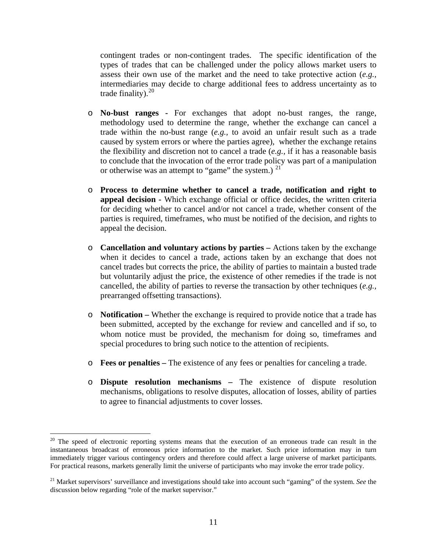contingent trades or non-contingent trades. The specific identification of the types of trades that can be challenged under the policy allows market users to assess their own use of the market and the need to take protective action (*e.g.,* intermediaries may decide to charge additional fees to address uncertainty as to trade finality). $20$ 

- o **No-bust ranges** For exchanges that adopt no-bust ranges, the range, methodology used to determine the range, whether the exchange can cancel a trade within the no-bust range (*e.g.,* to avoid an unfair result such as a trade caused by system errors or where the parties agree), whether the exchange retains the flexibility and discretion not to cancel a trade (*e.g.,* if it has a reasonable basis to conclude that the invocation of the error trade policy was part of a manipulation or otherwise was an attempt to "game" the system.)  $^{21}$  $^{21}$  $^{21}$
- o **Process to determine whether to cancel a trade, notification and right to appeal decision -** Which exchange official or office decides, the written criteria for deciding whether to cancel and/or not cancel a trade, whether consent of the parties is required, timeframes, who must be notified of the decision, and rights to appeal the decision.
- o **Cancellation and voluntary actions by parties** Actions taken by the exchange when it decides to cancel a trade, actions taken by an exchange that does not cancel trades but corrects the price, the ability of parties to maintain a busted trade but voluntarily adjust the price, the existence of other remedies if the trade is not cancelled, the ability of parties to reverse the transaction by other techniques (*e.g.,* prearranged offsetting transactions).
- o **Notification** Whether the exchange is required to provide notice that a trade has been submitted, accepted by the exchange for review and cancelled and if so, to whom notice must be provided, the mechanism for doing so, timeframes and special procedures to bring such notice to the attention of recipients.
- o **Fees or penalties** The existence of any fees or penalties for canceling a trade.
- o **Dispute resolution mechanisms** The existence of dispute resolution mechanisms, obligations to resolve disputes, allocation of losses, ability of parties to agree to financial adjustments to cover losses.

 $\overline{a}$ 

<span id="page-10-0"></span><sup>&</sup>lt;sup>20</sup> The speed of electronic reporting systems means that the execution of an erroneous trade can result in the instantaneous broadcast of erroneous price information to the market. Such price information may in turn immediately trigger various contingency orders and therefore could affect a large universe of market participants. For practical reasons, markets generally limit the universe of participants who may invoke the error trade policy.

<span id="page-10-1"></span><sup>21</sup> Market supervisors' surveillance and investigations should take into account such "gaming" of the system. *See* the discussion below regarding "role of the market supervisor."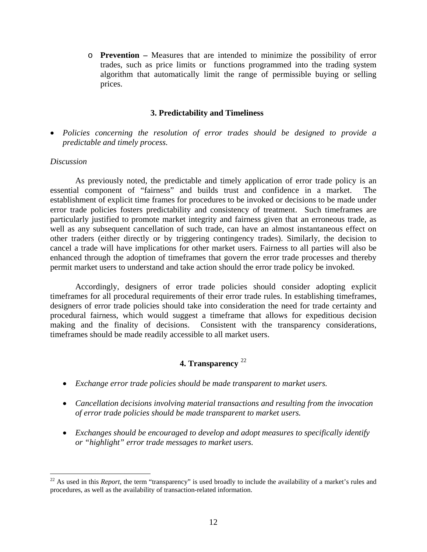o **Prevention –** Measures that are intended to minimize the possibility of error trades, such as price limits or functions programmed into the trading system algorithm that automatically limit the range of permissible buying or selling prices.

### **3. Predictability and Timeliness**

• *Policies concerning the resolution of error trades should be designed to provide a predictable and timely process.* 

### *Discussion*

 $\overline{a}$ 

 As previously noted, the predictable and timely application of error trade policy is an essential component of "fairness" and builds trust and confidence in a market. The establishment of explicit time frames for procedures to be invoked or decisions to be made under error trade policies fosters predictability and consistency of treatment. Such timeframes are particularly justified to promote market integrity and fairness given that an erroneous trade, as well as any subsequent cancellation of such trade, can have an almost instantaneous effect on other traders (either directly or by triggering contingency trades). Similarly, the decision to cancel a trade will have implications for other market users. Fairness to all parties will also be enhanced through the adoption of timeframes that govern the error trade processes and thereby permit market users to understand and take action should the error trade policy be invoked.

 Accordingly, designers of error trade policies should consider adopting explicit timeframes for all procedural requirements of their error trade rules. In establishing timeframes, designers of error trade policies should take into consideration the need for trade certainty and procedural fairness, which would suggest a timeframe that allows for expeditious decision making and the finality of decisions. Consistent with the transparency considerations, timeframes should be made readily accessible to all market users.

# **4. Transparency** [22](#page-11-0)

- *Exchange error trade policies should be made transparent to market users.*
- *Cancellation decisions involving material transactions and resulting from the invocation of error trade policies should be made transparent to market users.*
- *Exchanges should be encouraged to develop and adopt measures to specifically identify or "highlight" error trade messages to market users.*

<span id="page-11-0"></span> $22$  As used in this *Report*, the term "transparency" is used broadly to include the availability of a market's rules and procedures, as well as the availability of transaction-related information.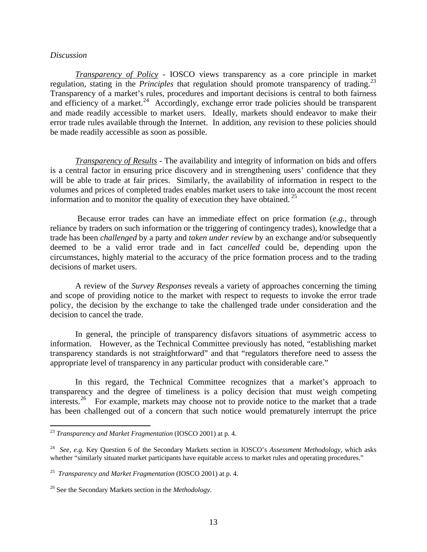### *Discussion*

 $\overline{a}$ 

 *Transparency of Policy -* IOSCO views transparency as a core principle in market regulation, stating in the *Principles* that regulation should promote transparency of trading.<sup>[23](#page-12-0)</sup> Transparency of a market's rules, procedures and important decisions is central to both fairness and efficiency of a market.<sup>[24](#page-12-1)</sup> Accordingly, exchange error trade policies should be transparent and made readily accessible to market users. Ideally, markets should endeavor to make their error trade rules available through the Internet. In addition, any revision to these policies should be made readily accessible as soon as possible.

*Transparency of Results* - The availability and integrity of information on bids and offers is a central factor in ensuring price discovery and in strengthening users' confidence that they will be able to trade at fair prices. Similarly, the availability of information in respect to the volumes and prices of completed trades enables market users to take into account the most recent information and to monitor the quality of execution they have obtained. [25](#page-12-2)

 Because error trades can have an immediate effect on price formation (*e.g.,* through reliance by traders on such information or the triggering of contingency trades), knowledge that a trade has been *challenged* by a party and *taken under review* by an exchange and/or subsequently deemed to be a valid error trade and in fact *cancelled* could be, depending upon the circumstances, highly material to the accuracy of the price formation process and to the trading decisions of market users.

 A review of the *Survey Responses* reveals a variety of approaches concerning the timing and scope of providing notice to the market with respect to requests to invoke the error trade policy, the decision by the exchange to take the challenged trade under consideration and the decision to cancel the trade.

 In general, the principle of transparency disfavors situations of asymmetric access to information. However, as the Technical Committee previously has noted, "establishing market transparency standards is not straightforward" and that "regulators therefore need to assess the appropriate level of transparency in any particular product with considerable care."

 In this regard, the Technical Committee recognizes that a market's approach to transparency and the degree of timeliness is a policy decision that must weigh competing interests.<sup>[26](#page-12-3)</sup> For example, markets may choose not to provide notice to the market that a trade has been challenged out of a concern that such notice would prematurely interrupt the price

<span id="page-12-0"></span><sup>23</sup> *Transparency and Market Fragmentation* (IOSCO 2001) at p. 4.

<span id="page-12-1"></span><sup>24</sup> *See, e.g.* Key Question 6 of the Secondary Markets section in IOSCO's *Assessment Methodology,* which asks whether "similarly situated market participants have equitable access to market rules and operating procedures."

<span id="page-12-2"></span><sup>25</sup> *Transparency and Market Fragmentation* (IOSCO 2001) at p. 4.

<span id="page-12-3"></span><sup>26</sup> See the Secondary Markets section in the *Methodology*.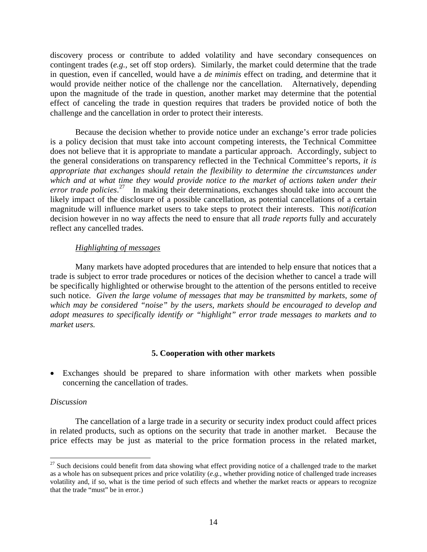discovery process or contribute to added volatility and have secondary consequences on contingent trades (*e.g.,* set off stop orders). Similarly, the market could determine that the trade in question, even if cancelled, would have a *de minimis* effect on trading, and determine that it would provide neither notice of the challenge nor the cancellation. Alternatively, depending upon the magnitude of the trade in question, another market may determine that the potential effect of canceling the trade in question requires that traders be provided notice of both the challenge and the cancellation in order to protect their interests.

 Because the decision whether to provide notice under an exchange's error trade policies is a policy decision that must take into account competing interests, the Technical Committee does not believe that it is appropriate to mandate a particular approach. Accordingly, subject to the general considerations on transparency reflected in the Technical Committee's reports, *it is appropriate that exchanges should retain the flexibility to determine the circumstances under which and at what time they would provide notice to the market of actions taken under their error trade policies*. [27](#page-13-0) In making their determinations, exchanges should take into account the likely impact of the disclosure of a possible cancellation, as potential cancellations of a certain magnitude will influence market users to take steps to protect their interests. This *notification*  decision however in no way affects the need to ensure that all *trade reports* fully and accurately reflect any cancelled trades.

### *Highlighting of messages*

 Many markets have adopted procedures that are intended to help ensure that notices that a trade is subject to error trade procedures or notices of the decision whether to cancel a trade will be specifically highlighted or otherwise brought to the attention of the persons entitled to receive such notice. *Given the large volume of messages that may be transmitted by markets, some of which may be considered "noise" by the users, markets should be encouraged to develop and adopt measures to specifically identify or "highlight" error trade messages to markets and to market users.* 

# **5. Cooperation with other markets**

• Exchanges should be prepared to share information with other markets when possible concerning the cancellation of trades.

### *Discussion*

 $\overline{a}$ 

 The cancellation of a large trade in a security or security index product could affect prices in related products, such as options on the security that trade in another market. Because the price effects may be just as material to the price formation process in the related market,

<span id="page-13-0"></span> $27$  Such decisions could benefit from data showing what effect providing notice of a challenged trade to the market as a whole has on subsequent prices and price volatility (*e.g.,* whether providing notice of challenged trade increases volatility and, if so, what is the time period of such effects and whether the market reacts or appears to recognize that the trade "must" be in error.)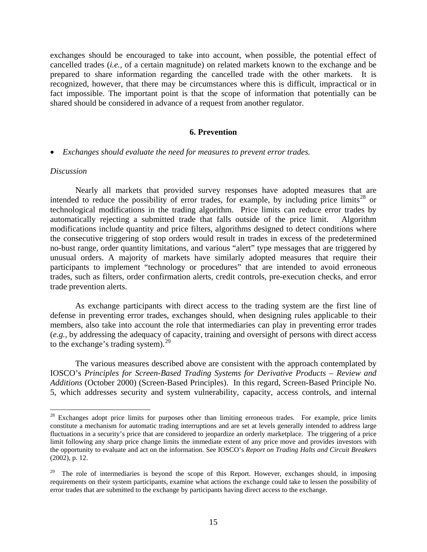exchanges should be encouraged to take into account, when possible, the potential effect of cancelled trades (*i.e.,* of a certain magnitude) on related markets known to the exchange and be prepared to share information regarding the cancelled trade with the other markets. It is recognized, however, that there may be circumstances where this is difficult, impractical or in fact impossible. The important point is that the scope of information that potentially can be shared should be considered in advance of a request from another regulator.

### **6. Prevention**

#### • *Exchanges should evaluate the need for measures to prevent error trades.*

### *Discussion*

 $\overline{a}$ 

 Nearly all markets that provided survey responses have adopted measures that are intended to reduce the possibility of error trades, for example, by including price limits<sup>[28](#page-14-0)</sup> or technological modifications in the trading algorithm. Price limits can reduce error trades by automatically rejecting a submitted trade that falls outside of the price limit. Algorithm modifications include quantity and price filters, algorithms designed to detect conditions where the consecutive triggering of stop orders would result in trades in excess of the predetermined no-bust range, order quantity limitations, and various "alert" type messages that are triggered by unusual orders. A majority of markets have similarly adopted measures that require their participants to implement "technology or procedures" that are intended to avoid erroneous trades, such as filters, order confirmation alerts, credit controls, pre-execution checks, and error trade prevention alerts.

 As exchange participants with direct access to the trading system are the first line of defense in preventing error trades, exchanges should, when designing rules applicable to their members, also take into account the role that intermediaries can play in preventing error trades (*e.g.,* by addressing the adequacy of capacity, training and oversight of persons with direct access to the exchange's trading system). $^{29}$  $^{29}$  $^{29}$ 

The various measures described above are consistent with the approach contemplated by IOSCO's *Principles for Screen-Based Trading Systems for Derivative Products – Review and Additions* (October 2000) (Screen-Based Principles). In this regard, Screen-Based Principle No. 5, which addresses security and system vulnerability, capacity, access controls, and internal

<span id="page-14-0"></span><sup>&</sup>lt;sup>28</sup> Exchanges adopt price limits for purposes other than limiting erroneous trades. For example, price limits constitute a mechanism for automatic trading interruptions and are set at levels generally intended to address large fluctuations in a security's price that are considered to jeopardize an orderly marketplace. The triggering of a price limit following any sharp price change limits the immediate extent of any price move and provides investors with the opportunity to evaluate and act on the information. See IOSCO's *Report on Trading Halts and Circuit Breakers* (2002), p. 12.

<span id="page-14-1"></span> $29$  The role of intermediaries is beyond the scope of this Report. However, exchanges should, in imposing requirements on their system participants, examine what actions the exchange could take to lessen the possibility of error trades that are submitted to the exchange by participants having direct access to the exchange.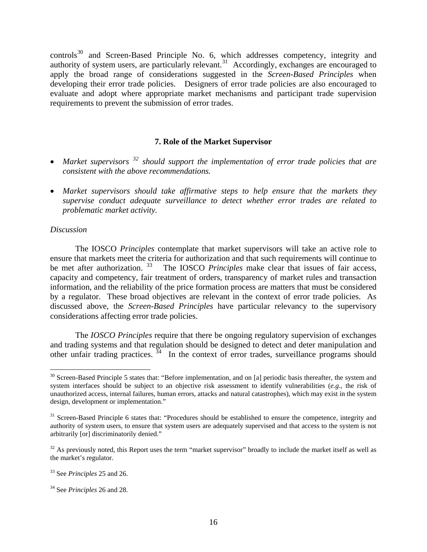controls<sup>[30](#page-15-0)</sup> and Screen-Based Principle No. 6, which addresses competency, integrity and authority of system users, are particularly relevant.<sup>[31](#page-15-1)</sup> Accordingly, exchanges are encouraged to apply the broad range of considerations suggested in the *Screen-Based Principles* when developing their error trade policies. Designers of error trade policies are also encouraged to evaluate and adopt where appropriate market mechanisms and participant trade supervision requirements to prevent the submission of error trades.

# **7. Role of the Market Supervisor**

- *Market supervisors [32](#page-15-2) should support the implementation of error trade policies that are consistent with the above recommendations.*
- *Market supervisors should take affirmative steps to help ensure that the markets they supervise conduct adequate surveillance to detect whether error trades are related to problematic market activity.*

### *Discussion*

 The IOSCO *Principles* contemplate that market supervisors will take an active role to ensure that markets meet the criteria for authorization and that such requirements will continue to be met after authorization.<sup>[33](#page-15-3)</sup> The IOSCO *Principles* make clear that issues of fair access, capacity and competency, fair treatment of orders, transparency of market rules and transaction information, and the reliability of the price formation process are matters that must be considered by a regulator. These broad objectives are relevant in the context of error trade policies. As discussed above, the *Screen-Based Principles* have particular relevancy to the supervisory considerations affecting error trade policies.

 The *IOSCO Principles* require that there be ongoing regulatory supervision of exchanges and trading systems and that regulation should be designed to detect and deter manipulation and other unfair trading practices.  $34$  In the context of error trades, surveillance programs should

<span id="page-15-0"></span> $\overline{a}$  $30$  Screen-Based Principle 5 states that: "Before implementation, and on [a] periodic basis thereafter, the system and system interfaces should be subject to an objective risk assessment to identify vulnerabilities (*e.g.,* the risk of unauthorized access, internal failures, human errors, attacks and natural catastrophes), which may exist in the system design, development or implementation."

<span id="page-15-1"></span><sup>&</sup>lt;sup>31</sup> Screen-Based Principle 6 states that: "Procedures should be established to ensure the competence, integrity and authority of system users, to ensure that system users are adequately supervised and that access to the system is not arbitrarily [or] discriminatorily denied."

<span id="page-15-2"></span> $32$  As previously noted, this Report uses the term "market supervisor" broadly to include the market itself as well as the market's regulator.

<span id="page-15-3"></span><sup>33</sup> See *Principles* 25 and 26.

<span id="page-15-4"></span><sup>34</sup> See *Principles* 26 and 28.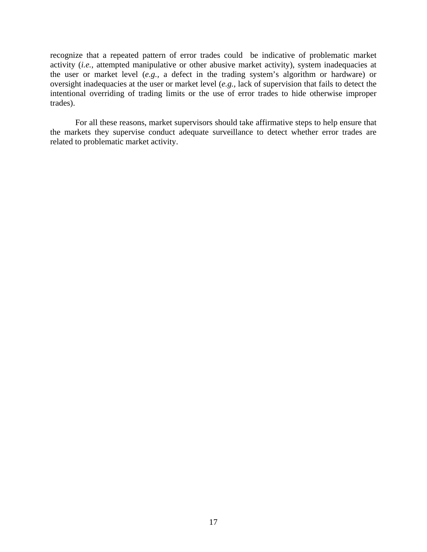recognize that a repeated pattern of error trades could be indicative of problematic market activity (*i.e.*, attempted manipulative or other abusive market activity), system inadequacies at the user or market level (*e.g.,* a defect in the trading system's algorithm or hardware) or oversight inadequacies at the user or market level (*e.g.,* lack of supervision that fails to detect the intentional overriding of trading limits or the use of error trades to hide otherwise improper trades).

 For all these reasons, market supervisors should take affirmative steps to help ensure that the markets they supervise conduct adequate surveillance to detect whether error trades are related to problematic market activity.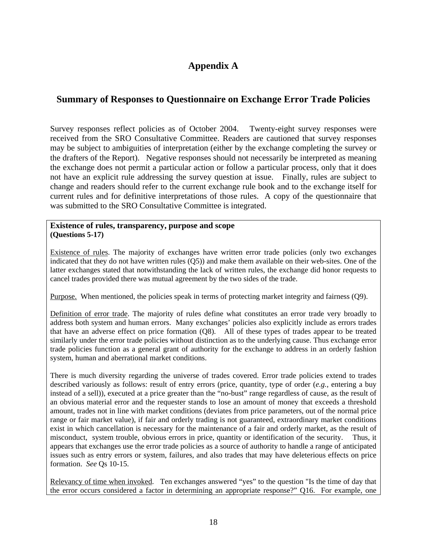# **Appendix A**

# **Summary of Responses to Questionnaire on Exchange Error Trade Policies**

Survey responses reflect policies as of October 2004. Twenty-eight survey responses were received from the SRO Consultative Committee. Readers are cautioned that survey responses may be subject to ambiguities of interpretation (either by the exchange completing the survey or the drafters of the Report). Negative responses should not necessarily be interpreted as meaning the exchange does not permit a particular action or follow a particular process, only that it does not have an explicit rule addressing the survey question at issue. Finally, rules are subject to change and readers should refer to the current exchange rule book and to the exchange itself for current rules and for definitive interpretations of those rules. A copy of the questionnaire that was submitted to the SRO Consultative Committee is integrated.

### **Existence of rules, transparency, purpose and scope (Questions 5-17)**

Existence of rules. The majority of exchanges have written error trade policies (only two exchanges indicated that they do not have written rules (Q5)) and make them available on their web-sites. One of the latter exchanges stated that notwithstanding the lack of written rules, the exchange did honor requests to cancel trades provided there was mutual agreement by the two sides of the trade.

Purpose. When mentioned, the policies speak in terms of protecting market integrity and fairness (Q9).

Definition of error trade. The majority of rules define what constitutes an error trade very broadly to address both system and human errors. Many exchanges' policies also explicitly include as errors trades that have an adverse effect on price formation (Q8). All of these types of trades appear to be treated similarly under the error trade policies without distinction as to the underlying cause. Thus exchange error trade policies function as a general grant of authority for the exchange to address in an orderly fashion system, human and aberrational market conditions.

There is much diversity regarding the universe of trades covered. Error trade policies extend to trades described variously as follows: result of entry errors (price, quantity, type of order (*e.g.,* entering a buy instead of a sell)), executed at a price greater than the "no-bust" range regardless of cause, as the result of an obvious material error and the requester stands to lose an amount of money that exceeds a threshold amount, trades not in line with market conditions (deviates from price parameters, out of the normal price range or fair market value), if fair and orderly trading is not guaranteed, extraordinary market conditions exist in which cancellation is necessary for the maintenance of a fair and orderly market, as the result of misconduct, system trouble, obvious errors in price, quantity or identification of the security. Thus, it appears that exchanges use the error trade policies as a source of authority to handle a range of anticipated issues such as entry errors or system, failures, and also trades that may have deleterious effects on price formation. *See* Qs 10-15.

Relevancy of time when invoked.Ten exchanges answered "yes" to the question "Is the time of day that the error occurs considered a factor in determining an appropriate response?" Q16. For example, one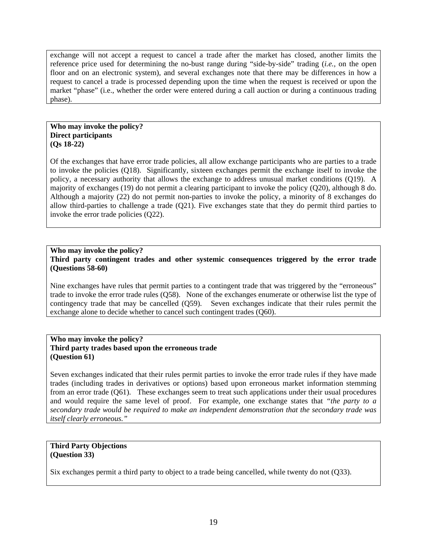exchange will not accept a request to cancel a trade after the market has closed, another limits the reference price used for determining the no-bust range during "side-by-side" trading (*i.e.,* on the open floor and on an electronic system), and several exchanges note that there may be differences in how a request to cancel a trade is processed depending upon the time when the request is received or upon the market "phase" (i.e., whether the order were entered during a call auction or during a continuous trading phase).

### **Who may invoke the policy? Direct participants (Qs 18-22)**

Of the exchanges that have error trade policies, all allow exchange participants who are parties to a trade to invoke the policies (Q18). Significantly, sixteen exchanges permit the exchange itself to invoke the policy, a necessary authority that allows the exchange to address unusual market conditions (Q19). A majority of exchanges (19) do not permit a clearing participant to invoke the policy (Q20), although 8 do. Although a majority (22) do not permit non-parties to invoke the policy, a minority of 8 exchanges do allow third-parties to challenge a trade (Q21). Five exchanges state that they do permit third parties to invoke the error trade policies (Q22).

### **Who may invoke the policy? Third party contingent trades and other systemic consequences triggered by the error trade (Questions 58-60)**

Nine exchanges have rules that permit parties to a contingent trade that was triggered by the "erroneous" trade to invoke the error trade rules (Q58). None of the exchanges enumerate or otherwise list the type of contingency trade that may be cancelled (Q59). Seven exchanges indicate that their rules permit the exchange alone to decide whether to cancel such contingent trades (Q60).

### **Who may invoke the policy? Third party trades based upon the erroneous trade (Question 61)**

Seven exchanges indicated that their rules permit parties to invoke the error trade rules if they have made trades (including trades in derivatives or options) based upon erroneous market information stemming from an error trade (Q61). These exchanges seem to treat such applications under their usual procedures and would require the same level of proof. For example, one exchange states that *"the party to a secondary trade would be required to make an independent demonstration that the secondary trade was itself clearly erroneous."* 

### **Third Party Objections (Question 33)**

Six exchanges permit a third party to object to a trade being cancelled, while twenty do not (Q33).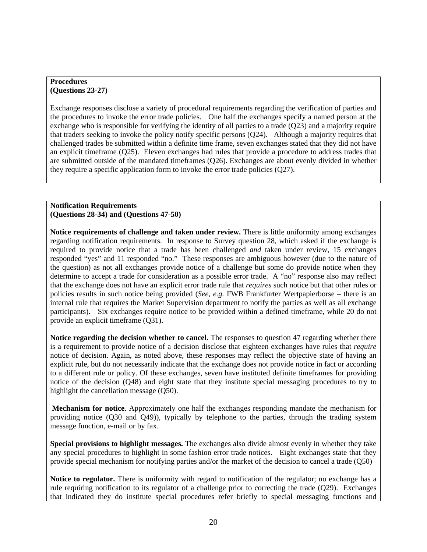### **Procedures (Questions 23-27)**

Exchange responses disclose a variety of procedural requirements regarding the verification of parties and the procedures to invoke the error trade policies. One half the exchanges specify a named person at the exchange who is responsible for verifying the identity of all parties to a trade (Q23) and a majority require that traders seeking to invoke the policy notify specific persons (Q24). Although a majority requires that challenged trades be submitted within a definite time frame, seven exchanges stated that they did not have an explicit timeframe (Q25). Eleven exchanges had rules that provide a procedure to address trades that are submitted outside of the mandated timeframes (Q26). Exchanges are about evenly divided in whether they require a specific application form to invoke the error trade policies (Q27).

### **Notification Requirements (Questions 28-34) and (Questions 47-50)**

**Notice requirements of challenge and taken under review.** There is little uniformity among exchanges regarding notification requirements. In response to Survey question 28, which asked if the exchange is required to provide notice that a trade has been challenged *and* taken under review, 15 exchanges responded "yes" and 11 responded "no." These responses are ambiguous however (due to the nature of the question) as not all exchanges provide notice of a challenge but some do provide notice when they determine to accept a trade for consideration as a possible error trade. A "no" response also may reflect that the exchange does not have an explicit error trade rule that *requires* such notice but that other rules or policies results in such notice being provided (*See, e.g.* FWB Frankfurter Wertpapierborse – there is an internal rule that requires the Market Supervision department to notify the parties as well as all exchange participants). Six exchanges require notice to be provided within a defined timeframe, while 20 do not provide an explicit timeframe (Q31).

**Notice regarding the decision whether to cancel.** The responses to question 47 regarding whether there is a requirement to provide notice of a decision disclose that eighteen exchanges have rules that *require*  notice of decision. Again, as noted above, these responses may reflect the objective state of having an explicit rule, but do not necessarily indicate that the exchange does not provide notice in fact or according to a different rule or policy. Of these exchanges, seven have instituted definite timeframes for providing notice of the decision (Q48) and eight state that they institute special messaging procedures to try to highlight the cancellation message (Q50).

 **Mechanism for notice**. Approximately one half the exchanges responding mandate the mechanism for providing notice (Q30 and Q49)), typically by telephone to the parties, through the trading system message function, e-mail or by fax.

**Special provisions to highlight messages.** The exchanges also divide almost evenly in whether they take any special procedures to highlight in some fashion error trade notices. Eight exchanges state that they provide special mechanism for notifying parties and/or the market of the decision to cancel a trade (Q50)

Notice to regulator. There is uniformity with regard to notification of the regulator; no exchange has a rule requiring notification to its regulator of a challenge prior to correcting the trade (Q29). Exchanges that indicated they do institute special procedures refer briefly to special messaging functions and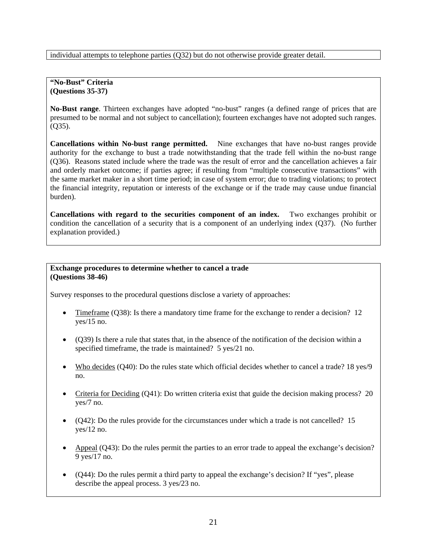individual attempts to telephone parties (Q32) but do not otherwise provide greater detail.

**"No-Bust" Criteria (Questions 35-37)** 

**No-Bust range**. Thirteen exchanges have adopted "no-bust" ranges (a defined range of prices that are presumed to be normal and not subject to cancellation); fourteen exchanges have not adopted such ranges. (Q35).

**Cancellations within No-bust range permitted.** Nine exchanges that have no-bust ranges provide authority for the exchange to bust a trade notwithstanding that the trade fell within the no-bust range (Q36). Reasons stated include where the trade was the result of error and the cancellation achieves a fair and orderly market outcome; if parties agree; if resulting from "multiple consecutive transactions" with the same market maker in a short time period; in case of system error; due to trading violations; to protect the financial integrity, reputation or interests of the exchange or if the trade may cause undue financial burden).

**Cancellations with regard to the securities component of an index.** Two exchanges prohibit or condition the cancellation of a security that is a component of an underlying index (Q37). (No further explanation provided.)

### **Exchange procedures to determine whether to cancel a trade (Questions 38-46)**

Survey responses to the procedural questions disclose a variety of approaches:

- Timeframe (Q38): Is there a mandatory time frame for the exchange to render a decision? 12 yes/15 no.
- (Q39) Is there a rule that states that, in the absence of the notification of the decision within a specified timeframe, the trade is maintained? 5 yes/21 no.
- Who decides (Q40): Do the rules state which official decides whether to cancel a trade? 18 yes/9 no.
- Criteria for Deciding (Q41): Do written criteria exist that guide the decision making process? 20 yes/7 no.
- $(Q42)$ : Do the rules provide for the circumstances under which a trade is not cancelled? 15 yes/12 no.
- Appeal (Q43): Do the rules permit the parties to an error trade to appeal the exchange's decision? 9 yes/17 no.
- (Q44): Do the rules permit a third party to appeal the exchange's decision? If "yes", please describe the appeal process. 3 yes/23 no.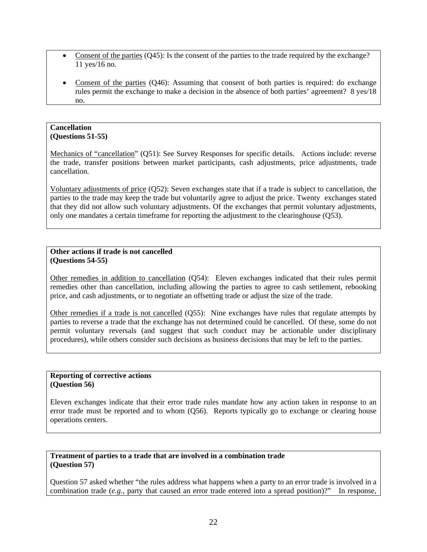- Consent of the parties (Q45): Is the consent of the parties to the trade required by the exchange? 11 yes/16 no.
- Consent of the parties (Q46): Assuming that consent of both parties is required: do exchange rules permit the exchange to make a decision in the absence of both parties' agreement? 8 yes/18 no.

### **Cancellation (Questions 51-55)**

Mechanics of "cancellation" (Q51): See Survey Responses for specific details. Actions include: reverse the trade, transfer positions between market participants, cash adjustments, price adjustments, trade cancellation.

Voluntary adjustments of price (Q52): Seven exchanges state that if a trade is subject to cancellation, the parties to the trade may keep the trade but voluntarily agree to adjust the price. Twenty exchanges stated that they did not allow such voluntary adjustments. Of the exchanges that permit voluntary adjustments, only one mandates a certain timeframe for reporting the adjustment to the clearinghouse (Q53).

### **Other actions if trade is not cancelled (Questions 54-55)**

Other remedies in addition to cancellation (Q54): Eleven exchanges indicated that their rules permit remedies other than cancellation, including allowing the parties to agree to cash settlement, rebooking price, and cash adjustments, or to negotiate an offsetting trade or adjust the size of the trade.

Other remedies if a trade is not cancelled (Q55): Nine exchanges have rules that regulate attempts by parties to reverse a trade that the exchange has not determined could be cancelled. Of these, some do not permit voluntary reversals (and suggest that such conduct may be actionable under disciplinary procedures), while others consider such decisions as business decisions that may be left to the parties.

#### **Reporting of corrective actions (Question 56)**

Eleven exchanges indicate that their error trade rules mandate how any action taken in response to an error trade must be reported and to whom (Q56). Reports typically go to exchange or clearing house operations centers.

### **Treatment of parties to a trade that are involved in a combination trade (Question 57)**

Question 57 asked whether "the rules address what happens when a party to an error trade is involved in a combination trade (*e.g.,* party that caused an error trade entered into a spread position)?" In response,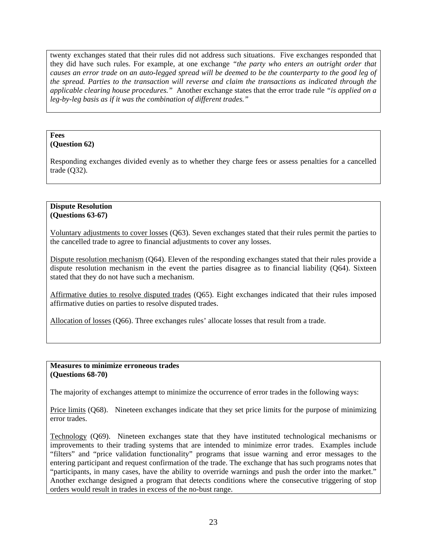twenty exchanges stated that their rules did not address such situations. Five exchanges responded that they did have such rules. For example, at one exchange *"the party who enters an outright order that causes an error trade on an auto-legged spread will be deemed to be the counterparty to the good leg of the spread. Parties to the transaction will reverse and claim the transactions as indicated through the applicable clearing house procedures."* Another exchange states that the error trade rule *"is applied on a leg-by-leg basis as if it was the combination of different trades."*

#### **Fees (Question 62)**

Responding exchanges divided evenly as to whether they charge fees or assess penalties for a cancelled trade (Q32).

### **Dispute Resolution (Questions 63-67)**

Voluntary adjustments to cover losses (Q63). Seven exchanges stated that their rules permit the parties to the cancelled trade to agree to financial adjustments to cover any losses.

Dispute resolution mechanism (Q64). Eleven of the responding exchanges stated that their rules provide a dispute resolution mechanism in the event the parties disagree as to financial liability (Q64). Sixteen stated that they do not have such a mechanism.

Affirmative duties to resolve disputed trades (Q65). Eight exchanges indicated that their rules imposed affirmative duties on parties to resolve disputed trades.

Allocation of losses (Q66). Three exchanges rules' allocate losses that result from a trade.

### **Measures to minimize erroneous trades (Questions 68-70)**

The majority of exchanges attempt to minimize the occurrence of error trades in the following ways:

Price limits (Q68). Nineteen exchanges indicate that they set price limits for the purpose of minimizing error trades.

Technology (Q69). Nineteen exchanges state that they have instituted technological mechanisms or improvements to their trading systems that are intended to minimize error trades. Examples include "filters" and "price validation functionality" programs that issue warning and error messages to the entering participant and request confirmation of the trade. The exchange that has such programs notes that "participants, in many cases, have the ability to override warnings and push the order into the market." Another exchange designed a program that detects conditions where the consecutive triggering of stop orders would result in trades in excess of the no-bust range.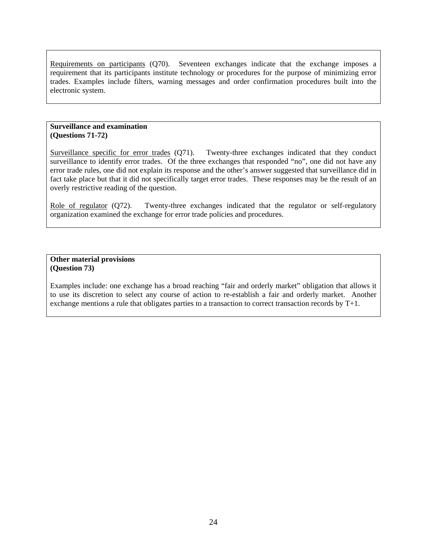Requirements on participants (Q70). Seventeen exchanges indicate that the exchange imposes a requirement that its participants institute technology or procedures for the purpose of minimizing error trades. Examples include filters, warning messages and order confirmation procedures built into the electronic system.

### **Surveillance and examination (Questions 71-72)**

Surveillance specific for error trades (Q71). Twenty-three exchanges indicated that they conduct surveillance to identify error trades. Of the three exchanges that responded "no", one did not have any error trade rules, one did not explain its response and the other's answer suggested that surveillance did in fact take place but that it did not specifically target error trades. These responses may be the result of an overly restrictive reading of the question.

Role of regulator (Q72). Twenty-three exchanges indicated that the regulator or self-regulatory organization examined the exchange for error trade policies and procedures.

### **Other material provisions (Question 73)**

Examples include: one exchange has a broad reaching "fair and orderly market" obligation that allows it to use its discretion to select any course of action to re-establish a fair and orderly market. Another exchange mentions a rule that obligates parties to a transaction to correct transaction records by T+1.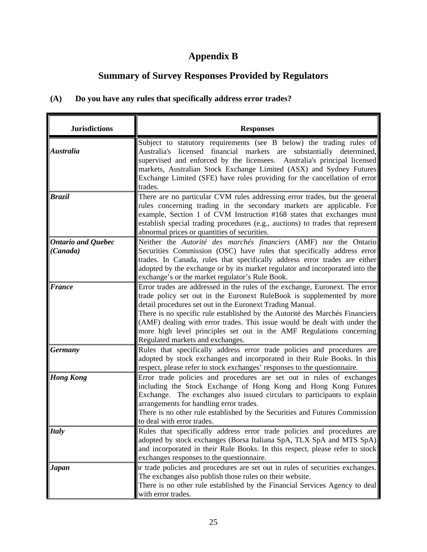# **Appendix B**

# **Summary of Survey Responses Provided by Regulators**

# **(A) Do you have any rules that specifically address error trades?**

| <b>Jurisdictions</b>                  | <b>Responses</b>                                                                                                                                                                                                                                                                                                                                                                                                                                                                            |
|---------------------------------------|---------------------------------------------------------------------------------------------------------------------------------------------------------------------------------------------------------------------------------------------------------------------------------------------------------------------------------------------------------------------------------------------------------------------------------------------------------------------------------------------|
| <b>Australia</b>                      | Subject to statutory requirements (see B below) the trading rules of<br>Australia's licensed financial markets are substantially determined,<br>supervised and enforced by the licensees. Australia's principal licensed<br>markets, Australian Stock Exchange Limited (ASX) and Sydney Futures<br>Exchange Limited (SFE) have rules providing for the cancellation of error<br>trades.                                                                                                     |
| <b>Brazil</b>                         | There are no particular CVM rules addressing error trades, but the general<br>rules concerning trading in the secondary markets are applicable. For<br>example, Section 1 of CVM Instruction #168 states that exchanges must<br>establish special trading procedures (e.g., auctions) to trades that represent<br>abnormal prices or quantities of securities.                                                                                                                              |
| <b>Ontario and Quebec</b><br>(Canada) | Neither the Autorité des marchés financiers (AMF) nor the Ontario<br>Securities Commission (OSC) have rules that specifically address error<br>trades. In Canada, rules that specifically address error trades are either<br>adopted by the exchange or by its market regulator and incorporated into the<br>exchange's or the market regulator's Rule Book.                                                                                                                                |
| <b>France</b>                         | Error trades are addressed in the rules of the exchange, Euronext. The error<br>trade policy set out in the Euronext RuleBook is supplemented by more<br>detail procedures set out in the Euronext Trading Manual.<br>There is no specific rule established by the Autorité des Marchés Financiers<br>(AMF) dealing with error trades. This issue would be dealt with under the<br>more high level principles set out in the AMF Regulations concerning<br>Regulated markets and exchanges. |
| <b>Germany</b>                        | Rules that specifically address error trade policies and procedures are<br>adopted by stock exchanges and incorporated in their Rule Books. In this<br>respect, please refer to stock exchanges' responses to the questionnaire.                                                                                                                                                                                                                                                            |
| <b>Hong Kong</b>                      | Error trade policies and procedures are set out in rules of exchanges<br>including the Stock Exchange of Hong Kong and Hong Kong Futures<br>Exchange. The exchanges also issued circulars to participants to explain<br>arrangements for handling error trades.<br>There is no other rule established by the Securities and Futures Commission<br>to deal with error trades.                                                                                                                |
| <b>Italy</b>                          | Rules that specifically address error trade policies and procedures are<br>adopted by stock exchanges (Borsa Italiana SpA, TLX SpA and MTS SpA)<br>and incorporated in their Rule Books. In this respect, please refer to stock<br>exchanges responses to the questionnaire.                                                                                                                                                                                                                |
| <b>Japan</b>                          | or trade policies and procedures are set out in rules of securities exchanges.<br>The exchanges also publish those rules on their website.<br>There is no other rule established by the Financial Services Agency to deal<br>with error trades.                                                                                                                                                                                                                                             |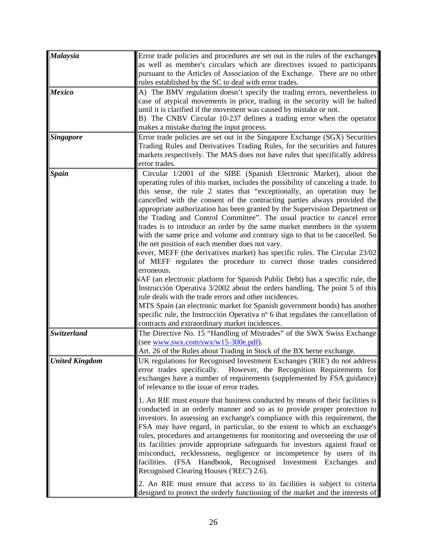| Error trade policies and procedures are set out in the rules of the exchanges<br>as well as member's circulars which are directives issued to participants<br>pursuant to the Articles of Association of the Exchange. There are no other<br>rules established by the SC to deal with error trades.                                                                                                                                                                                                                                                                                                                                                                                                                                                                                                                                                                                                                                                                                                                                                                                                                                                                                                                                                                                                   |
|-------------------------------------------------------------------------------------------------------------------------------------------------------------------------------------------------------------------------------------------------------------------------------------------------------------------------------------------------------------------------------------------------------------------------------------------------------------------------------------------------------------------------------------------------------------------------------------------------------------------------------------------------------------------------------------------------------------------------------------------------------------------------------------------------------------------------------------------------------------------------------------------------------------------------------------------------------------------------------------------------------------------------------------------------------------------------------------------------------------------------------------------------------------------------------------------------------------------------------------------------------------------------------------------------------|
| A) The BMV regulation doesn't specify the trading errors, nevertheless in<br>case of atypical movements in price, trading in the security will be halted<br>until it is clarified if the movement was caused by mistake or not.<br>B) The CNBV Circular 10-237 defines a trading error when the operator<br>makes a mistake during the input process.                                                                                                                                                                                                                                                                                                                                                                                                                                                                                                                                                                                                                                                                                                                                                                                                                                                                                                                                                 |
| Error trade policies are set out in the Singapore Exchange (SGX) Securities<br>Trading Rules and Derivatives Trading Rules, for the securities and futures<br>markets respectively. The MAS does not have rules that specifically address<br>error trades.                                                                                                                                                                                                                                                                                                                                                                                                                                                                                                                                                                                                                                                                                                                                                                                                                                                                                                                                                                                                                                            |
| Circular 1/2001 of the SIBE (Spanish Electronic Market), about the<br>operating rules of this market, includes the possibility of canceling a trade. In<br>this sense, the rule 2 states that "exceptionally, an operation may be<br>cancelled with the consent of the contracting parties always provided the<br>appropriate authorization has been granted by the Supervision Department or<br>the Trading and Control Committee". The usual practice to cancel error<br>trades is to introduce an order by the same market members in the system<br>with the same price and volume and contrary sign to that to be cancelled. So<br>the net position of each member does not vary.<br>vever, MEFF (the derivatives market) has specific rules. The Circular 23/02<br>of MEFF regulates the procedure to correct those trades considered<br>erroneous.<br>NAF (an electronic platform for Spanish Public Debt) has a specific rule, the<br>Instrucción Operativa 3/2002 about the orders handling. The point 5 of this<br>rule deals with the trade errors and other incidences.<br>MTS Spain (an electronic market for Spanish government bonds) has another<br>specific rule, the Instrucción Operativa nº 6 that regulates the cancellation of<br>contracts and extraordinary market incidences. |
| The Directive No. 15 "Handling of Mistrades" of the SWX Swiss Exchange<br>(see www.swx.com/swx/w15-300e.pdf).<br>Art. 26 of the Rules about Trading in Stock of the BX berne exchange.                                                                                                                                                                                                                                                                                                                                                                                                                                                                                                                                                                                                                                                                                                                                                                                                                                                                                                                                                                                                                                                                                                                |
| UK regulations for Recognised Investment Exchanges ('RIE') do not address<br>error trades specifically. However, the Recognition Requirements for<br>exchanges have a number of requirements (supplemented by FSA guidance)<br>of relevance to the issue of error trades.                                                                                                                                                                                                                                                                                                                                                                                                                                                                                                                                                                                                                                                                                                                                                                                                                                                                                                                                                                                                                             |
| 1. An RIE must ensure that business conducted by means of their facilities is<br>conducted in an orderly manner and so as to provide proper protection to<br>investors. In assessing an exchange's compliance with this requirement, the<br>FSA may have regard, in particular, to the extent to which an exchange's<br>rules, procedures and arrangements for monitoring and overseeing the use of<br>its facilities provide appropriate safeguards for investors against fraud or<br>misconduct, recklessness, negligence or incompetence by users of its<br>facilities. (FSA Handbook, Recognised Investment Exchanges and<br>Recognised Clearing Houses ('REC') 2.6).<br>2. An RIE must ensure that access to its facilities is subject to criteria                                                                                                                                                                                                                                                                                                                                                                                                                                                                                                                                               |
|                                                                                                                                                                                                                                                                                                                                                                                                                                                                                                                                                                                                                                                                                                                                                                                                                                                                                                                                                                                                                                                                                                                                                                                                                                                                                                       |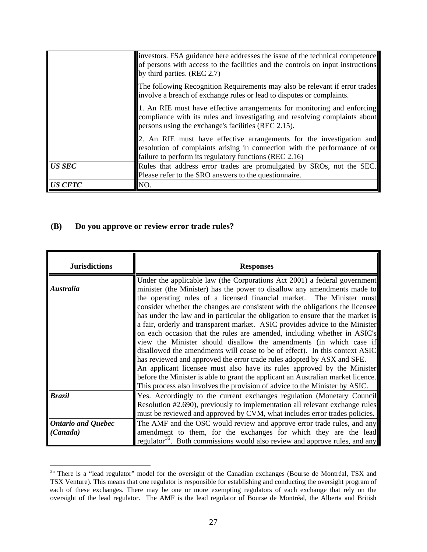|                | investors. FSA guidance here addresses the issue of the technical competence<br>of persons with access to the facilities and the controls on input instructions<br>by third parties. (REC 2.7)               |
|----------------|--------------------------------------------------------------------------------------------------------------------------------------------------------------------------------------------------------------|
|                | The following Recognition Requirements may also be relevant if error trades<br>involve a breach of exchange rules or lead to disputes or complaints.                                                         |
|                | 1. An RIE must have effective arrangements for monitoring and enforcing<br>compliance with its rules and investigating and resolving complaints about<br>persons using the exchange's facilities (REC 2.15). |
|                | 2. An RIE must have effective arrangements for the investigation and<br>resolution of complaints arising in connection with the performance of or<br>failure to perform its regulatory functions (REC 2.16)  |
| <b>US SEC</b>  | Rules that address error trades are promulgated by SROs, not the SEC.<br>Please refer to the SRO answers to the questionnaire.                                                                               |
| <b>US CFTC</b> | NO.                                                                                                                                                                                                          |

# **(B) Do you approve or review error trade rules?**

<span id="page-26-0"></span> $\overline{a}$ 

| <b>Jurisdictions</b>                  | <b>Responses</b>                                                                                                                                                                                                                                                                                                                                                                                                                                                                                                                                                                                                                                                                                                                                                                                                                                                                                                                                                                                                                             |
|---------------------------------------|----------------------------------------------------------------------------------------------------------------------------------------------------------------------------------------------------------------------------------------------------------------------------------------------------------------------------------------------------------------------------------------------------------------------------------------------------------------------------------------------------------------------------------------------------------------------------------------------------------------------------------------------------------------------------------------------------------------------------------------------------------------------------------------------------------------------------------------------------------------------------------------------------------------------------------------------------------------------------------------------------------------------------------------------|
| <i><b>Australia</b></i>               | Under the applicable law (the Corporations Act 2001) a federal government<br>minister (the Minister) has the power to disallow any amendments made to<br>the operating rules of a licensed financial market. The Minister must<br>consider whether the changes are consistent with the obligations the licensee<br>has under the law and in particular the obligation to ensure that the market is<br>a fair, orderly and transparent market. ASIC provides advice to the Minister<br>on each occasion that the rules are amended, including whether in ASIC's<br>view the Minister should disallow the amendments (in which case if<br>disallowed the amendments will cease to be of effect). In this context ASIC<br>has reviewed and approved the error trade rules adopted by ASX and SFE.<br>An applicant licensee must also have its rules approved by the Minister<br>before the Minister is able to grant the applicant an Australian market licence.<br>This process also involves the provision of advice to the Minister by ASIC. |
| <b>Brazil</b>                         | [Yes. Accordingly to the current exchanges regulation (Monetary Council<br>Resolution #2.690), previously to implementation all relevant exchange rules<br>must be reviewed and approved by CVM, what includes error trades policies.                                                                                                                                                                                                                                                                                                                                                                                                                                                                                                                                                                                                                                                                                                                                                                                                        |
| <b>Ontario and Quebec</b><br>(Canada) | The AMF and the OSC would review and approve error trade rules, and any<br>amendment to them, for the exchanges for which they are the lead<br>regulator <sup>35</sup> . Both commissions would also review and approve rules, and any                                                                                                                                                                                                                                                                                                                                                                                                                                                                                                                                                                                                                                                                                                                                                                                                       |

<sup>&</sup>lt;sup>35</sup> There is a "lead regulator" model for the oversight of the Canadian exchanges (Bourse de Montréal, TSX and TSX Venture). This means that one regulator is responsible for establishing and conducting the oversight program of each of these exchanges. There may be one or more exempting regulators of each exchange that rely on the oversight of the lead regulator. The AMF is the lead regulator of Bourse de Montréal, the Alberta and British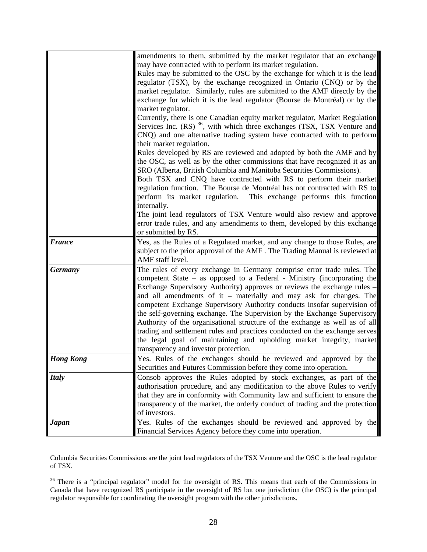|                  | amendments to them, submitted by the market regulator that an exchange                |
|------------------|---------------------------------------------------------------------------------------|
|                  | may have contracted with to perform its market regulation.                            |
|                  | Rules may be submitted to the OSC by the exchange for which it is the lead            |
|                  | regulator (TSX), by the exchange recognized in Ontario (CNQ) or by the                |
|                  | market regulator. Similarly, rules are submitted to the AMF directly by the           |
|                  | exchange for which it is the lead regulator (Bourse de Montréal) or by the            |
|                  | market regulator.                                                                     |
|                  | Currently, there is one Canadian equity market regulator, Market Regulation           |
|                  | Services Inc. $(RS)$ <sup>36</sup> , with which three exchanges (TSX, TSX Venture and |
|                  | CNQ) and one alternative trading system have contracted with to perform               |
|                  | their market regulation.                                                              |
|                  | Rules developed by RS are reviewed and adopted by both the AMF and by                 |
|                  | the OSC, as well as by the other commissions that have recognized it as an            |
|                  | SRO (Alberta, British Columbia and Manitoba Securities Commissions).                  |
|                  | Both TSX and CNQ have contracted with RS to perform their market                      |
|                  | regulation function. The Bourse de Montréal has not contracted with RS to             |
|                  | perform its market regulation. This exchange performs this function                   |
|                  | internally.                                                                           |
|                  | The joint lead regulators of TSX Venture would also review and approve                |
|                  | error trade rules, and any amendments to them, developed by this exchange             |
|                  | or submitted by RS.                                                                   |
| <b>France</b>    | Yes, as the Rules of a Regulated market, and any change to those Rules, are           |
|                  | subject to the prior approval of the AMF. The Trading Manual is reviewed at           |
|                  | AMF staff level.                                                                      |
| <b>Germany</b>   | The rules of every exchange in Germany comprise error trade rules. The                |
|                  | competent State - as opposed to a Federal - Ministry (incorporating the               |
|                  | Exchange Supervisory Authority) approves or reviews the exchange rules -              |
|                  | and all amendments of it – materially and may ask for changes. The                    |
|                  | competent Exchange Supervisory Authority conducts insofar supervision of              |
|                  | the self-governing exchange. The Supervision by the Exchange Supervisory              |
|                  | Authority of the organisational structure of the exchange as well as of all           |
|                  | trading and settlement rules and practices conducted on the exchange serves           |
|                  | the legal goal of maintaining and upholding market integrity, market                  |
|                  | transparency and investor protection.                                                 |
| <b>Hong Kong</b> | Yes. Rules of the exchanges should be reviewed and approved by the                    |
|                  | Securities and Futures Commission before they come into operation.                    |
| <b>Italy</b>     | Consob approves the Rules adopted by stock exchanges, as part of the                  |
|                  | authorisation procedure, and any modification to the above Rules to verify            |
|                  | that they are in conformity with Community law and sufficient to ensure the           |
|                  | transparency of the market, the orderly conduct of trading and the protection         |
|                  | of investors.                                                                         |
| <b>Japan</b>     | Yes. Rules of the exchanges should be reviewed and approved by the                    |
|                  | Financial Services Agency before they come into operation.                            |

 Columbia Securities Commissions are the joint lead regulators of the TSX Venture and the OSC is the lead regulator of TSX.

<span id="page-27-0"></span><sup>36</sup> There is a "principal regulator" model for the oversight of RS. This means that each of the Commissions in Canada that have recognized RS participate in the oversight of RS but one jurisdiction (the OSC) is the principal regulator responsible for coordinating the oversight program with the other jurisdictions.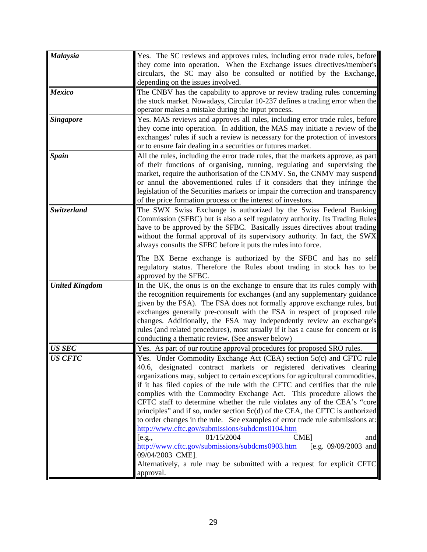| Malaysia              | Yes. The SC reviews and approves rules, including error trade rules, before       |
|-----------------------|-----------------------------------------------------------------------------------|
|                       | they come into operation. When the Exchange issues directives/member's            |
|                       |                                                                                   |
|                       | circulars, the SC may also be consulted or notified by the Exchange,              |
|                       | depending on the issues involved.                                                 |
| <b>Mexico</b>         | The CNBV has the capability to approve or review trading rules concerning         |
|                       | the stock market. Nowadays, Circular 10-237 defines a trading error when the      |
|                       | operator makes a mistake during the input process.                                |
| <b>Singapore</b>      | Yes. MAS reviews and approves all rules, including error trade rules, before      |
|                       | they come into operation. In addition, the MAS may initiate a review of the       |
|                       | exchanges' rules if such a review is necessary for the protection of investors    |
|                       | or to ensure fair dealing in a securities or futures market.                      |
| <b>Spain</b>          | All the rules, including the error trade rules, that the markets approve, as part |
|                       | of their functions of organising, running, regulating and supervising the         |
|                       | market, require the authorisation of the CNMV. So, the CNMV may suspend           |
|                       | or annul the abovementioned rules if it considers that they infringe the          |
|                       | legislation of the Securities markets or impair the correction and transparency   |
|                       | of the price formation process or the interest of investors.                      |
| Switzerland           | The SWX Swiss Exchange is authorized by the Swiss Federal Banking                 |
|                       | Commission (SFBC) but is also a self regulatory authority. Its Trading Rules      |
|                       | have to be approved by the SFBC. Basically issues directives about trading        |
|                       | without the formal approval of its supervisory authority. In fact, the SWX        |
|                       | always consults the SFBC before it puts the rules into force.                     |
|                       | The BX Berne exchange is authorized by the SFBC and has no self                   |
|                       | regulatory status. Therefore the Rules about trading in stock has to be           |
|                       | approved by the SFBC.                                                             |
| <b>United Kingdom</b> | In the UK, the onus is on the exchange to ensure that its rules comply with       |
|                       | the recognition requirements for exchanges (and any supplementary guidance        |
|                       | given by the FSA). The FSA does not formally approve exchange rules, but          |
|                       | exchanges generally pre-consult with the FSA in respect of proposed rule          |
|                       | changes. Additionally, the FSA may independently review an exchange's             |
|                       | rules (and related procedures), most usually if it has a cause for concern or is  |
|                       | conducting a thematic review. (See answer below)                                  |
| <b>US SEC</b>         | Yes. As part of our routine approval procedures for proposed SRO rules.           |
|                       |                                                                                   |
| <b>US CFTC</b>        | Yes. Under Commodity Exchange Act (CEA) section 5c(c) and CFTC rule               |
|                       | 40.6, designated contract markets or registered derivatives clearing              |
|                       | organizations may, subject to certain exceptions for agricultural commodities,    |
|                       | if it has filed copies of the rule with the CFTC and certifies that the rule      |
|                       | complies with the Commodity Exchange Act. This procedure allows the               |
|                       | CFTC staff to determine whether the rule violates any of the CEA's "core          |
|                       | principles" and if so, under section 5c(d) of the CEA, the CFTC is authorized     |
|                       | to order changes in the rule. See examples of error trade rule submissions at:    |
|                       | http://www.cftc.gov/submissions/subdcms0104.htm                                   |
|                       | 01/15/2004<br><b>CME</b><br>[e.g.,<br>and                                         |
|                       | http://www.cftc.gov/submissions/subdcms0903.htm<br>[e.g. $09/09/2003$ and         |
|                       | 09/04/2003 CME].                                                                  |
|                       | Alternatively, a rule may be submitted with a request for explicit CFTC           |
|                       | approval.                                                                         |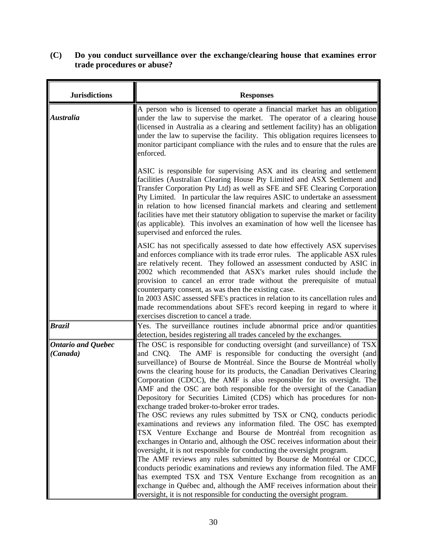# **(C) Do you conduct surveillance over the exchange/clearing house that examines error trade procedures or abuse?**

| <b>Jurisdictions</b>                  | <b>Responses</b>                                                                                                                                                                                                                                                                                                                                                                                                                                                                                                                                                                                                                                                                                                                                                                                                                                                                                                                                                                                                                                                                                                                                                                                                                                                                                                                                   |
|---------------------------------------|----------------------------------------------------------------------------------------------------------------------------------------------------------------------------------------------------------------------------------------------------------------------------------------------------------------------------------------------------------------------------------------------------------------------------------------------------------------------------------------------------------------------------------------------------------------------------------------------------------------------------------------------------------------------------------------------------------------------------------------------------------------------------------------------------------------------------------------------------------------------------------------------------------------------------------------------------------------------------------------------------------------------------------------------------------------------------------------------------------------------------------------------------------------------------------------------------------------------------------------------------------------------------------------------------------------------------------------------------|
| <b>Australia</b>                      | A person who is licensed to operate a financial market has an obligation<br>under the law to supervise the market. The operator of a clearing house<br>(licensed in Australia as a clearing and settlement facility) has an obligation<br>under the law to supervise the facility. This obligation requires licensees to<br>monitor participant compliance with the rules and to ensure that the rules are<br>enforced.                                                                                                                                                                                                                                                                                                                                                                                                                                                                                                                                                                                                                                                                                                                                                                                                                                                                                                                            |
|                                       | ASIC is responsible for supervising ASX and its clearing and settlement<br>facilities (Australian Clearing House Pty Limited and ASX Settlement and<br>Transfer Corporation Pty Ltd) as well as SFE and SFE Clearing Corporation<br>Pty Limited. In particular the law requires ASIC to undertake an assessment<br>in relation to how licensed financial markets and clearing and settlement<br>facilities have met their statutory obligation to supervise the market or facility<br>(as applicable). This involves an examination of how well the licensee has<br>supervised and enforced the rules.                                                                                                                                                                                                                                                                                                                                                                                                                                                                                                                                                                                                                                                                                                                                             |
|                                       | ASIC has not specifically assessed to date how effectively ASX supervises<br>and enforces compliance with its trade error rules. The applicable ASX rules<br>are relatively recent. They followed an assessment conducted by ASIC in<br>2002 which recommended that ASX's market rules should include the<br>provision to cancel an error trade without the prerequisite of mutual<br>counterparty consent, as was then the existing case.<br>In 2003 ASIC assessed SFE's practices in relation to its cancellation rules and                                                                                                                                                                                                                                                                                                                                                                                                                                                                                                                                                                                                                                                                                                                                                                                                                      |
|                                       | made recommendations about SFE's record keeping in regard to where it                                                                                                                                                                                                                                                                                                                                                                                                                                                                                                                                                                                                                                                                                                                                                                                                                                                                                                                                                                                                                                                                                                                                                                                                                                                                              |
|                                       | exercises discretion to cancel a trade.                                                                                                                                                                                                                                                                                                                                                                                                                                                                                                                                                                                                                                                                                                                                                                                                                                                                                                                                                                                                                                                                                                                                                                                                                                                                                                            |
| <b>Brazil</b>                         | Yes. The surveillance routines include abnormal price and/or quantities<br>detection, besides registering all trades canceled by the exchanges.                                                                                                                                                                                                                                                                                                                                                                                                                                                                                                                                                                                                                                                                                                                                                                                                                                                                                                                                                                                                                                                                                                                                                                                                    |
| <b>Ontario and Quebec</b><br>(Canada) | The OSC is responsible for conducting oversight (and surveillance) of TSX<br>and CNQ. The AMF is responsible for conducting the oversight (and<br>surveillance) of Bourse de Montréal. Since the Bourse de Montréal wholly<br>owns the clearing house for its products, the Canadian Derivatives Clearing<br>Corporation (CDCC), the AMF is also responsible for its oversight. The<br>AMF and the OSC are both responsible for the oversight of the Canadian<br>Depository for Securities Limited (CDS) which has procedures for non-<br>exchange traded broker-to-broker error trades.<br>The OSC reviews any rules submitted by TSX or CNQ, conducts periodic<br>examinations and reviews any information filed. The OSC has exempted<br>TSX Venture Exchange and Bourse de Montréal from recognition as<br>exchanges in Ontario and, although the OSC receives information about their<br>oversight, it is not responsible for conducting the oversight program.<br>The AMF reviews any rules submitted by Bourse de Montréal or CDCC,<br>conducts periodic examinations and reviews any information filed. The AMF<br>has exempted TSX and TSX Venture Exchange from recognition as an<br>exchange in Québec and, although the AMF receives information about their<br>oversight, it is not responsible for conducting the oversight program. |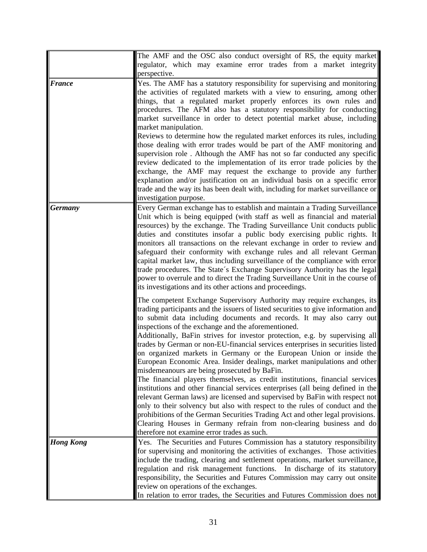|                  | The AMF and the OSC also conduct oversight of RS, the equity market                                                                                                                                                                                                                                                                                                                                                                                                                                                                                                                                                                                                                                                                                                                                                                                                                                                                                                                                                                                                                                                                                                                                         |
|------------------|-------------------------------------------------------------------------------------------------------------------------------------------------------------------------------------------------------------------------------------------------------------------------------------------------------------------------------------------------------------------------------------------------------------------------------------------------------------------------------------------------------------------------------------------------------------------------------------------------------------------------------------------------------------------------------------------------------------------------------------------------------------------------------------------------------------------------------------------------------------------------------------------------------------------------------------------------------------------------------------------------------------------------------------------------------------------------------------------------------------------------------------------------------------------------------------------------------------|
|                  | regulator, which may examine error trades from a market integrity                                                                                                                                                                                                                                                                                                                                                                                                                                                                                                                                                                                                                                                                                                                                                                                                                                                                                                                                                                                                                                                                                                                                           |
|                  | perspective.                                                                                                                                                                                                                                                                                                                                                                                                                                                                                                                                                                                                                                                                                                                                                                                                                                                                                                                                                                                                                                                                                                                                                                                                |
| <b>France</b>    | Yes. The AMF has a statutory responsibility for supervising and monitoring<br>the activities of regulated markets with a view to ensuring, among other<br>things, that a regulated market properly enforces its own rules and<br>procedures. The AFM also has a statutory responsibility for conducting<br>market surveillance in order to detect potential market abuse, including<br>market manipulation.<br>Reviews to determine how the regulated market enforces its rules, including<br>those dealing with error trades would be part of the AMF monitoring and<br>supervision role. Although the AMF has not so far conducted any specific<br>review dedicated to the implementation of its error trade policies by the<br>exchange, the AMF may request the exchange to provide any further<br>explanation and/or justification on an individual basis on a specific error<br>trade and the way its has been dealt with, including for market surveillance or<br>investigation purpose.                                                                                                                                                                                                             |
| <b>Germany</b>   | Every German exchange has to establish and maintain a Trading Surveillance<br>Unit which is being equipped (with staff as well as financial and material<br>resources) by the exchange. The Trading Surveillance Unit conducts public<br>duties and constitutes insofar a public body exercising public rights. It<br>monitors all transactions on the relevant exchange in order to review and<br>safeguard their conformity with exchange rules and all relevant German<br>capital market law, thus including surveillance of the compliance with error<br>trade procedures. The State's Exchange Supervisory Authority has the legal<br>power to overrule and to direct the Trading Surveillance Unit in the course of<br>its investigations and its other actions and proceedings.                                                                                                                                                                                                                                                                                                                                                                                                                      |
|                  | The competent Exchange Supervisory Authority may require exchanges, its<br>trading participants and the issuers of listed securities to give information and<br>to submit data including documents and records. It may also carry out<br>inspections of the exchange and the aforementioned.<br>Additionally, BaFin strives for investor protection, e.g. by supervising all<br>trades by German or non-EU-financial services enterprises in securities listed<br>on organized markets in Germany or the European Union or inside the<br>European Economic Area. Insider dealings, market manipulations and other<br>misdemeanours are being prosecuted by BaFin.<br>The financial players themselves, as credit institutions, financial services<br>institutions and other financial services enterprises (all being defined in the<br>relevant German laws) are licensed and supervised by BaFin with respect not<br>only to their solvency but also with respect to the rules of conduct and the<br>prohibitions of the German Securities Trading Act and other legal provisions.<br>Clearing Houses in Germany refrain from non-clearing business and do<br>therefore not examine error trades as such. |
| <b>Hong Kong</b> | Yes. The Securities and Futures Commission has a statutory responsibility                                                                                                                                                                                                                                                                                                                                                                                                                                                                                                                                                                                                                                                                                                                                                                                                                                                                                                                                                                                                                                                                                                                                   |
|                  | for supervising and monitoring the activities of exchanges. Those activities                                                                                                                                                                                                                                                                                                                                                                                                                                                                                                                                                                                                                                                                                                                                                                                                                                                                                                                                                                                                                                                                                                                                |
|                  | include the trading, clearing and settlement operations, market surveillance,                                                                                                                                                                                                                                                                                                                                                                                                                                                                                                                                                                                                                                                                                                                                                                                                                                                                                                                                                                                                                                                                                                                               |
|                  | regulation and risk management functions. In discharge of its statutory                                                                                                                                                                                                                                                                                                                                                                                                                                                                                                                                                                                                                                                                                                                                                                                                                                                                                                                                                                                                                                                                                                                                     |
|                  | responsibility, the Securities and Futures Commission may carry out onsite                                                                                                                                                                                                                                                                                                                                                                                                                                                                                                                                                                                                                                                                                                                                                                                                                                                                                                                                                                                                                                                                                                                                  |
|                  | review on operations of the exchanges.                                                                                                                                                                                                                                                                                                                                                                                                                                                                                                                                                                                                                                                                                                                                                                                                                                                                                                                                                                                                                                                                                                                                                                      |
|                  | In relation to error trades, the Securities and Futures Commission does not                                                                                                                                                                                                                                                                                                                                                                                                                                                                                                                                                                                                                                                                                                                                                                                                                                                                                                                                                                                                                                                                                                                                 |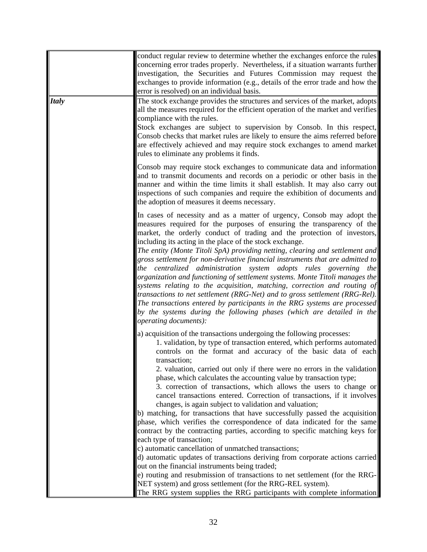|              | conduct regular review to determine whether the exchanges enforce the rules<br>concerning error trades properly. Nevertheless, if a situation warrants further<br>investigation, the Securities and Futures Commission may request the<br>exchanges to provide information (e.g., details of the error trade and how the<br>error is resolved) on an individual basis.                                                                                                                                                                                                                                                                                                                                                                                                                                                                                                                                                                                                                                                                                                                                                                                                                                                                                                                 |
|--------------|----------------------------------------------------------------------------------------------------------------------------------------------------------------------------------------------------------------------------------------------------------------------------------------------------------------------------------------------------------------------------------------------------------------------------------------------------------------------------------------------------------------------------------------------------------------------------------------------------------------------------------------------------------------------------------------------------------------------------------------------------------------------------------------------------------------------------------------------------------------------------------------------------------------------------------------------------------------------------------------------------------------------------------------------------------------------------------------------------------------------------------------------------------------------------------------------------------------------------------------------------------------------------------------|
| <b>Italy</b> | The stock exchange provides the structures and services of the market, adopts<br>all the measures required for the efficient operation of the market and verifies<br>compliance with the rules.<br>Stock exchanges are subject to supervision by Consob. In this respect,<br>Consob checks that market rules are likely to ensure the aims referred before<br>are effectively achieved and may require stock exchanges to amend market<br>rules to eliminate any problems it finds.                                                                                                                                                                                                                                                                                                                                                                                                                                                                                                                                                                                                                                                                                                                                                                                                    |
|              | Consob may require stock exchanges to communicate data and information<br>and to transmit documents and records on a periodic or other basis in the<br>manner and within the time limits it shall establish. It may also carry out<br>inspections of such companies and require the exhibition of documents and<br>the adoption of measures it deems necessary.                                                                                                                                                                                                                                                                                                                                                                                                                                                                                                                                                                                                                                                                                                                                                                                                                                                                                                                        |
|              | In cases of necessity and as a matter of urgency, Consob may adopt the<br>measures required for the purposes of ensuring the transparency of the<br>market, the orderly conduct of trading and the protection of investors,<br>including its acting in the place of the stock exchange.<br>The entity (Monte Titoli SpA) providing netting, clearing and settlement and<br>gross settlement for non-derivative financial instruments that are admitted to<br>the centralized administration system adopts rules governing the<br>organization and functioning of settlement systems. Monte Titoli manages the<br>systems relating to the acquisition, matching, correction and routing of<br>transactions to net settlement (RRG-Net) and to gross settlement (RRG-Rel).<br>The transactions entered by participants in the RRG systems are processed<br>by the systems during the following phases (which are detailed in the<br><i>operating documents):</i>                                                                                                                                                                                                                                                                                                                         |
|              | a) acquisition of the transactions undergoing the following processes:<br>1. validation, by type of transaction entered, which performs automated<br>controls on the format and accuracy of the basic data of each<br>transaction;<br>2. valuation, carried out only if there were no errors in the validation<br>phase, which calculates the accounting value by transaction type;<br>3. correction of transactions, which allows the users to change or<br>cancel transactions entered. Correction of transactions, if it involves<br>changes, is again subject to validation and valuation;<br>b) matching, for transactions that have successfully passed the acquisition<br>phase, which verifies the correspondence of data indicated for the same<br>contract by the contracting parties, according to specific matching keys for<br>each type of transaction;<br>c) automatic cancellation of unmatched transactions;<br>d) automatic updates of transactions deriving from corporate actions carried<br>out on the financial instruments being traded;<br>e) routing and resubmission of transactions to net settlement (for the RRG-<br>NET system) and gross settlement (for the RRG-REL system).<br>The RRG system supplies the RRG participants with complete information |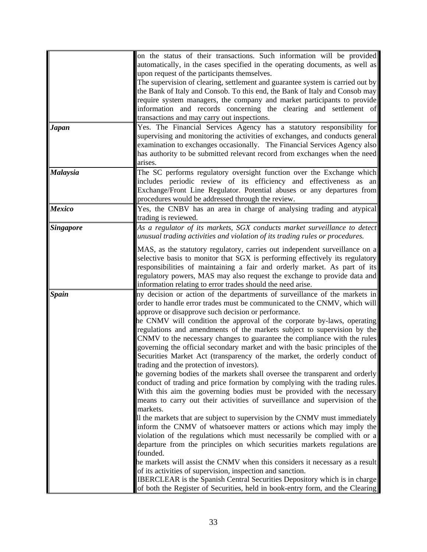| on the status of their transactions. Such information will be provided<br>automatically, in the cases specified in the operating documents, as well as<br>upon request of the participants themselves.<br>The supervision of clearing, settlement and guarantee system is carried out by<br>the Bank of Italy and Consob. To this end, the Bank of Italy and Consob may<br>require system managers, the company and market participants to provide<br>information and records concerning the clearing and settlement of<br>transactions and may carry out inspections.                                                                                                                                                                                                                                                                                                                                                                                                                                                                                                                                                                                                                                                                                                                                                                                                                                                                                                                                                                                                                                                                 |
|----------------------------------------------------------------------------------------------------------------------------------------------------------------------------------------------------------------------------------------------------------------------------------------------------------------------------------------------------------------------------------------------------------------------------------------------------------------------------------------------------------------------------------------------------------------------------------------------------------------------------------------------------------------------------------------------------------------------------------------------------------------------------------------------------------------------------------------------------------------------------------------------------------------------------------------------------------------------------------------------------------------------------------------------------------------------------------------------------------------------------------------------------------------------------------------------------------------------------------------------------------------------------------------------------------------------------------------------------------------------------------------------------------------------------------------------------------------------------------------------------------------------------------------------------------------------------------------------------------------------------------------|
| Yes. The Financial Services Agency has a statutory responsibility for<br>supervising and monitoring the activities of exchanges, and conducts general<br>examination to exchanges occasionally. The Financial Services Agency also<br>has authority to be submitted relevant record from exchanges when the need<br>arises.                                                                                                                                                                                                                                                                                                                                                                                                                                                                                                                                                                                                                                                                                                                                                                                                                                                                                                                                                                                                                                                                                                                                                                                                                                                                                                            |
| The SC performs regulatory oversight function over the Exchange which<br>includes periodic review of its efficiency and effectiveness as an<br>Exchange/Front Line Regulator. Potential abuses or any departures from<br>procedures would be addressed through the review.                                                                                                                                                                                                                                                                                                                                                                                                                                                                                                                                                                                                                                                                                                                                                                                                                                                                                                                                                                                                                                                                                                                                                                                                                                                                                                                                                             |
| Yes, the CNBV has an area in charge of analysing trading and atypical<br>trading is reviewed.                                                                                                                                                                                                                                                                                                                                                                                                                                                                                                                                                                                                                                                                                                                                                                                                                                                                                                                                                                                                                                                                                                                                                                                                                                                                                                                                                                                                                                                                                                                                          |
| As a regulator of its markets, SGX conducts market surveillance to detect<br>unusual trading activities and violation of its trading rules or procedures.                                                                                                                                                                                                                                                                                                                                                                                                                                                                                                                                                                                                                                                                                                                                                                                                                                                                                                                                                                                                                                                                                                                                                                                                                                                                                                                                                                                                                                                                              |
| MAS, as the statutory regulatory, carries out independent surveillance on a<br>selective basis to monitor that SGX is performing effectively its regulatory<br>responsibilities of maintaining a fair and orderly market. As part of its<br>regulatory powers, MAS may also request the exchange to provide data and<br>information relating to error trades should the need arise.                                                                                                                                                                                                                                                                                                                                                                                                                                                                                                                                                                                                                                                                                                                                                                                                                                                                                                                                                                                                                                                                                                                                                                                                                                                    |
| ny decision or action of the departments of surveillance of the markets in<br>order to handle error trades must be communicated to the CNMV, which will<br>approve or disapprove such decision or performance.<br>he CNMV will condition the approval of the corporate by-laws, operating<br>regulations and amendments of the markets subject to supervision by the<br>CNMV to the necessary changes to guarantee the compliance with the rules<br>governing the official secondary market and with the basic principles of the<br>Securities Market Act (transparency of the market, the orderly conduct of<br>trading and the protection of investors).<br>he governing bodies of the markets shall oversee the transparent and orderly<br>conduct of trading and price formation by complying with the trading rules.<br>With this aim the governing bodies must be provided with the necessary<br>means to carry out their activities of surveillance and supervision of the<br>markets.<br>If the markets that are subject to supervision by the CNMV must immediately<br>inform the CNMV of whatsoever matters or actions which may imply the<br>violation of the regulations which must necessarily be complied with or a<br>departure from the principles on which securities markets regulations are<br>founded.<br>he markets will assist the CNMV when this considers it necessary as a result<br>of its activities of supervision, inspection and sanction.<br>IBERCLEAR is the Spanish Central Securities Depository which is in charge<br>of both the Register of Securities, held in book-entry form, and the Clearing |
|                                                                                                                                                                                                                                                                                                                                                                                                                                                                                                                                                                                                                                                                                                                                                                                                                                                                                                                                                                                                                                                                                                                                                                                                                                                                                                                                                                                                                                                                                                                                                                                                                                        |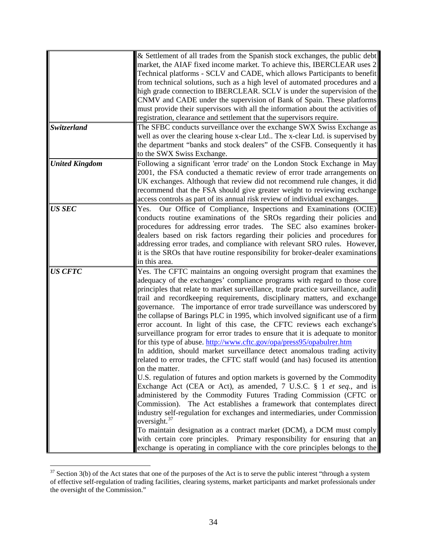|                       | & Settlement of all trades from the Spanish stock exchanges, the public debt<br>market, the AIAF fixed income market. To achieve this, IBERCLEAR uses 2<br>Technical platforms - SCLV and CADE, which allows Participants to benefit<br>from technical solutions, such as a high level of automated procedures and a<br>high grade connection to IBERCLEAR. SCLV is under the supervision of the<br>CNMV and CADE under the supervision of Bank of Spain. These platforms<br>must provide their supervisors with all the information about the activities of<br>registration, clearance and settlement that the supervisors require.                                                                                                                                                                                                                                                                                                                                                                                                                                                                                                                                                                                                                                                                                                                                                                                                                                                                                                             |
|-----------------------|--------------------------------------------------------------------------------------------------------------------------------------------------------------------------------------------------------------------------------------------------------------------------------------------------------------------------------------------------------------------------------------------------------------------------------------------------------------------------------------------------------------------------------------------------------------------------------------------------------------------------------------------------------------------------------------------------------------------------------------------------------------------------------------------------------------------------------------------------------------------------------------------------------------------------------------------------------------------------------------------------------------------------------------------------------------------------------------------------------------------------------------------------------------------------------------------------------------------------------------------------------------------------------------------------------------------------------------------------------------------------------------------------------------------------------------------------------------------------------------------------------------------------------------------------|
| Switzerland           | The SFBC conducts surveillance over the exchange SWX Swiss Exchange as<br>well as over the clearing house x-clear Ltd The x-clear Ltd. is supervised by<br>the department "banks and stock dealers" of the CSFB. Consequently it has<br>to the SWX Swiss Exchange.                                                                                                                                                                                                                                                                                                                                                                                                                                                                                                                                                                                                                                                                                                                                                                                                                                                                                                                                                                                                                                                                                                                                                                                                                                                                               |
| <b>United Kingdom</b> | Following a significant 'error trade' on the London Stock Exchange in May<br>2001, the FSA conducted a thematic review of error trade arrangements on<br>UK exchanges. Although that review did not recommend rule changes, it did<br>recommend that the FSA should give greater weight to reviewing exchange<br>access controls as part of its annual risk review of individual exchanges.                                                                                                                                                                                                                                                                                                                                                                                                                                                                                                                                                                                                                                                                                                                                                                                                                                                                                                                                                                                                                                                                                                                                                      |
| <b>US SEC</b>         | Our Office of Compliance, Inspections and Examinations (OCIE)<br>Yes.<br>conducts routine examinations of the SROs regarding their policies and<br>procedures for addressing error trades. The SEC also examines broker-<br>dealers based on risk factors regarding their policies and procedures for<br>addressing error trades, and compliance with relevant SRO rules. However,<br>it is the SROs that have routine responsibility for broker-dealer examinations<br>in this area.                                                                                                                                                                                                                                                                                                                                                                                                                                                                                                                                                                                                                                                                                                                                                                                                                                                                                                                                                                                                                                                            |
| <b>US CFTC</b>        | Yes. The CFTC maintains an ongoing oversight program that examines the<br>adequacy of the exchanges' compliance programs with regard to those core<br>principles that relate to market surveillance, trade practice surveillance, audit<br>trail and recordkeeping requirements, disciplinary matters, and exchange<br>governance. The importance of error trade surveillance was underscored by<br>the collapse of Barings PLC in 1995, which involved significant use of a firm<br>error account. In light of this case, the CFTC reviews each exchange's<br>surveillance program for error trades to ensure that it is adequate to monitor<br>for this type of abuse. http://www.cftc.gov/opa/press95/opabulrer.htm<br>In addition, should market surveillance detect anomalous trading activity<br>related to error trades, the CFTC staff would (and has) focused its attention<br>on the matter.<br>U.S. regulation of futures and option markets is governed by the Commodity<br>Exchange Act (CEA or Act), as amended, 7 U.S.C. § 1 et seq., and is<br>administered by the Commodity Futures Trading Commission (CFTC or<br>Commission). The Act establishes a framework that contemplates direct<br>industry self-regulation for exchanges and intermediaries, under Commission<br>oversight. $37$<br>To maintain designation as a contract market (DCM), a DCM must comply<br>with certain core principles. Primary responsibility for ensuring that an<br>exchange is operating in compliance with the core principles belongs to the |

<span id="page-33-0"></span> $37$  Section 3(b) of the Act states that one of the purposes of the Act is to serve the public interest "through a system" of effective self-regulation of trading facilities, clearing systems, market participants and market professionals under the oversight of the Commission."

 $\overline{a}$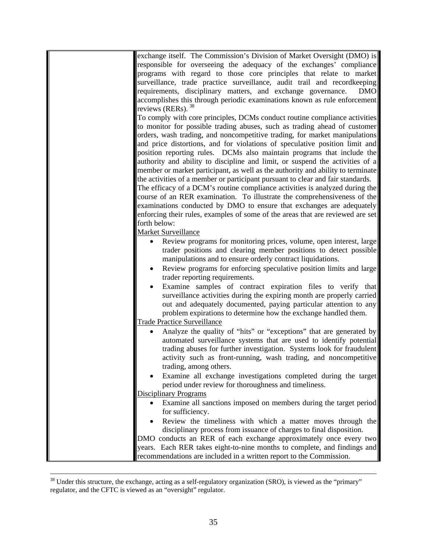| exchange itself. The Commission's Division of Market Oversight (DMO) is          |
|----------------------------------------------------------------------------------|
| responsible for overseeing the adequacy of the exchanges' compliance             |
| programs with regard to those core principles that relate to market              |
| surveillance, trade practice surveillance, audit trail and recordkeeping         |
| requirements, disciplinary matters, and exchange governance.<br><b>DMO</b>       |
| accomplishes this through periodic examinations known as rule enforcement        |
| reviews (RERs). $38$                                                             |
| To comply with core principles, DCMs conduct routine compliance activities       |
| to monitor for possible trading abuses, such as trading ahead of customer        |
| orders, wash trading, and noncompetitive trading, for market manipulations       |
| and price distortions, and for violations of speculative position limit and      |
| position reporting rules. DCMs also maintain programs that include the           |
| authority and ability to discipline and limit, or suspend the activities of a    |
| member or market participant, as well as the authority and ability to terminate  |
| the activities of a member or participant pursuant to clear and fair standards.  |
| The efficacy of a DCM's routine compliance activities is analyzed during the     |
| course of an RER examination. To illustrate the comprehensiveness of the         |
| examinations conducted by DMO to ensure that exchanges are adequately            |
| enforcing their rules, examples of some of the areas that are reviewed are set   |
| forth below:                                                                     |
| <b>Market Surveillance</b>                                                       |
| Review programs for monitoring prices, volume, open interest, large              |
| trader positions and clearing member positions to detect possible                |
| manipulations and to ensure orderly contract liquidations.                       |
| Review programs for enforcing speculative position limits and large<br>$\bullet$ |
| trader reporting requirements.                                                   |
| Examine samples of contract expiration files to verify that                      |
| surveillance activities during the expiring month are properly carried           |
| out and adequately documented, paying particular attention to any                |
| problem expirations to determine how the exchange handled them.                  |
| <b>Trade Practice Surveillance</b>                                               |
| Analyze the quality of "hits" or "exceptions" that are generated by              |
| automated surveillance systems that are used to identify potential               |
| trading abuses for further investigation. Systems look for fraudulent            |
| activity such as front-running, wash trading, and noncompetitive                 |
| trading, among others.                                                           |
| Examine all exchange investigations completed during the target                  |
| period under review for thoroughness and timeliness.                             |
| <b>Disciplinary Programs</b>                                                     |
| Examine all sanctions imposed on members during the target period                |
| for sufficiency.                                                                 |
| Review the timeliness with which a matter moves through the                      |
| disciplinary process from issuance of charges to final disposition.              |
| DMO conducts an RER of each exchange approximately once every two                |
| years. Each RER takes eight-to-nine months to complete, and findings and         |
| recommendations are included in a written report to the Commission.              |

<span id="page-34-0"></span> $38$  Under this structure, the exchange, acting as a self-regulatory organization (SRO), is viewed as the "primary" regulator, and the CFTC is viewed as an "oversight" regulator.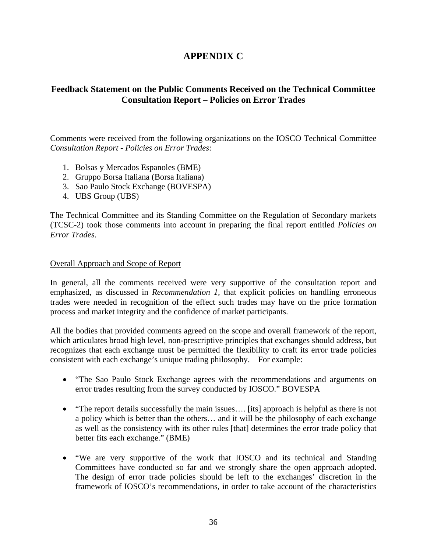# **APPENDIX C**

# **Feedback Statement on the Public Comments Received on the Technical Committee Consultation Report – Policies on Error Trades**

Comments were received from the following organizations on the IOSCO Technical Committee *Consultation Report* - *Policies on Error Trades*:

- 1. Bolsas y Mercados Espanoles (BME)
- 2. Gruppo Borsa Italiana (Borsa Italiana)
- 3. Sao Paulo Stock Exchange (BOVESPA)
- 4. UBS Group (UBS)

The Technical Committee and its Standing Committee on the Regulation of Secondary markets (TCSC-2) took those comments into account in preparing the final report entitled *Policies on Error Trades*.

# Overall Approach and Scope of Report

In general, all the comments received were very supportive of the consultation report and emphasized, as discussed in *Recommendation 1,* that explicit policies on handling erroneous trades were needed in recognition of the effect such trades may have on the price formation process and market integrity and the confidence of market participants.

All the bodies that provided comments agreed on the scope and overall framework of the report, which articulates broad high level, non-prescriptive principles that exchanges should address, but recognizes that each exchange must be permitted the flexibility to craft its error trade policies consistent with each exchange's unique trading philosophy. For example:

- "The Sao Paulo Stock Exchange agrees with the recommendations and arguments on error trades resulting from the survey conducted by IOSCO." BOVESPA
- "The report details successfully the main issues.... [its] approach is helpful as there is not a policy which is better than the others… and it will be the philosophy of each exchange as well as the consistency with its other rules [that] determines the error trade policy that better fits each exchange." (BME)
- "We are very supportive of the work that IOSCO and its technical and Standing Committees have conducted so far and we strongly share the open approach adopted. The design of error trade policies should be left to the exchanges' discretion in the framework of IOSCO's recommendations, in order to take account of the characteristics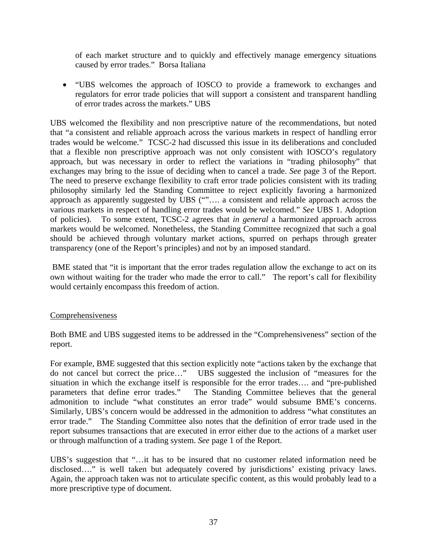of each market structure and to quickly and effectively manage emergency situations caused by error trades." Borsa Italiana

• "UBS welcomes the approach of IOSCO to provide a framework to exchanges and regulators for error trade policies that will support a consistent and transparent handling of error trades across the markets." UBS

UBS welcomed the flexibility and non prescriptive nature of the recommendations, but noted that "a consistent and reliable approach across the various markets in respect of handling error trades would be welcome." TCSC-2 had discussed this issue in its deliberations and concluded that a flexible non prescriptive approach was not only consistent with IOSCO's regulatory approach, but was necessary in order to reflect the variations in "trading philosophy" that exchanges may bring to the issue of deciding when to cancel a trade. *See* page 3 of the Report. The need to preserve exchange flexibility to craft error trade policies consistent with its trading philosophy similarly led the Standing Committee to reject explicitly favoring a harmonized approach as apparently suggested by UBS ("".... a consistent and reliable approach across the various markets in respect of handling error trades would be welcomed." *See* UBS 1. Adoption of policies). To some extent, TCSC-2 agrees that *in general* a harmonized approach across markets would be welcomed. Nonetheless, the Standing Committee recognized that such a goal should be achieved through voluntary market actions, spurred on perhaps through greater transparency (one of the Report's principles) and not by an imposed standard.

 BME stated that "it is important that the error trades regulation allow the exchange to act on its own without waiting for the trader who made the error to call." The report's call for flexibility would certainly encompass this freedom of action.

# Comprehensiveness

Both BME and UBS suggested items to be addressed in the "Comprehensiveness" section of the report.

For example, BME suggested that this section explicitly note "actions taken by the exchange that do not cancel but correct the price…" UBS suggested the inclusion of "measures for the situation in which the exchange itself is responsible for the error trades…. and "pre-published parameters that define error trades." The Standing Committee believes that the general admonition to include "what constitutes an error trade" would subsume BME's concerns. Similarly, UBS's concern would be addressed in the admonition to address "what constitutes an error trade." The Standing Committee also notes that the definition of error trade used in the report subsumes transactions that are executed in error either due to the actions of a market user or through malfunction of a trading system. *See* page 1 of the Report.

UBS's suggestion that "…it has to be insured that no customer related information need be disclosed…." is well taken but adequately covered by jurisdictions' existing privacy laws. Again, the approach taken was not to articulate specific content, as this would probably lead to a more prescriptive type of document.